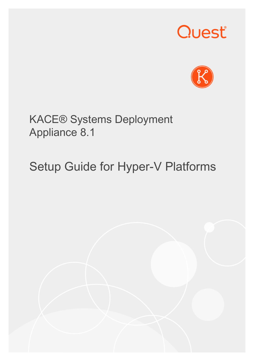# Quest®



### KACE® Systems Deployment Appliance 8.1

# Setup Guide for Hyper-V Platforms

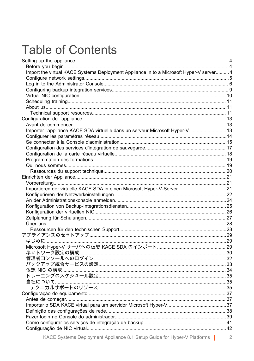## **Table of Contents**

| Import the virtual KACE Systems Deployment Appliance in to a Microsoft Hyper-V server 4 |  |
|-----------------------------------------------------------------------------------------|--|
|                                                                                         |  |
|                                                                                         |  |
|                                                                                         |  |
|                                                                                         |  |
|                                                                                         |  |
|                                                                                         |  |
|                                                                                         |  |
|                                                                                         |  |
|                                                                                         |  |
| Importer l'appliance KACE SDA virtuelle dans un serveur Microsoft Hyper-V 13            |  |
|                                                                                         |  |
|                                                                                         |  |
|                                                                                         |  |
|                                                                                         |  |
|                                                                                         |  |
|                                                                                         |  |
|                                                                                         |  |
|                                                                                         |  |
|                                                                                         |  |
|                                                                                         |  |
|                                                                                         |  |
|                                                                                         |  |
|                                                                                         |  |
|                                                                                         |  |
|                                                                                         |  |
|                                                                                         |  |
|                                                                                         |  |
|                                                                                         |  |
|                                                                                         |  |
|                                                                                         |  |
|                                                                                         |  |
|                                                                                         |  |
|                                                                                         |  |
|                                                                                         |  |
|                                                                                         |  |
|                                                                                         |  |
|                                                                                         |  |
|                                                                                         |  |
|                                                                                         |  |
|                                                                                         |  |
|                                                                                         |  |
|                                                                                         |  |
|                                                                                         |  |
|                                                                                         |  |
|                                                                                         |  |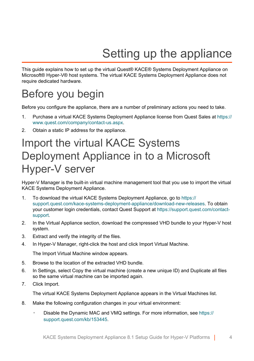# Setting up the appliance

<span id="page-3-0"></span>This guide explains how to set up the virtual Quest® KACE® Systems Deployment Appliance on Microsoft® Hyper-V® host systems. The virtual KACE Systems Deployment Appliance does not require dedicated hardware.

### <span id="page-3-1"></span>Before you begin

Before you configure the appliance, there are a number of preliminary actions you need to take.

- 1. Purchase a virtual KACE Systems Deployment Appliance license from Quest Sales at [https://](https://www.quest.com/company/contact-us.aspx) [www.quest.com/company/contact-us.aspx](https://www.quest.com/company/contact-us.aspx).
- 2. Obtain a static IP address for the appliance.

### <span id="page-3-2"></span>Import the virtual KACE Systems Deployment Appliance in to a Microsoft Hyper-V server

Hyper-V Manager is the built-in virtual machine management tool that you use to import the virtual KACE Systems Deployment Appliance.

- 1. To download the virtual KACE Systems Deployment Appliance, go to [https://](https://support.quest.com/kace-systems-deployment-appliance/download-new-releases) [support.quest.com/kace-systems-deployment-appliance/download-new-releases](https://support.quest.com/kace-systems-deployment-appliance/download-new-releases). To obtain your customer login credentials, contact Quest Support at [https://support.quest.com/contact](https://support.quest.com/contact-support)[support.](https://support.quest.com/contact-support)
- 2. In the Virtual Appliance section, download the compressed VHD bundle to your Hyper-V host system.
- 3. Extract and verify the integrity of the files.
- 4. In Hyper-V Manager, right-click the host and click Import Virtual Machine.

The Import Virtual Machine window appears.

- 5. Browse to the location of the extracted VHD bundle.
- 6. In Settings, select Copy the virtual machine (create a new unique ID) and Duplicate all files so the same virtual machine can be imported again.
- 7. Click Import.

The virtual KACE Systems Deployment Appliance appears in the Virtual Machines list.

- 8. Make the following configuration changes in your virtual environment:
	- Disable the Dynamic MAC and VMQ settings. For more information, see [https://](https://support.quest.com/kb/153445) [support.quest.com/kb/153445](https://support.quest.com/kb/153445).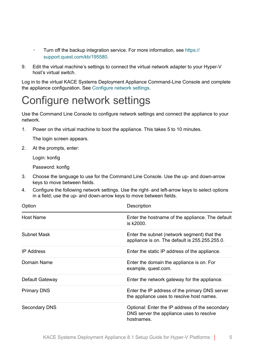- Turn off the backup integration service. For more information, see [https://](https://support.quest.com/kb/195580) [support.quest.com/kb/195580](https://support.quest.com/kb/195580).
- 9. Edit the virtual machine's settings to connect the virtual network adapter to your Hyper-V host's virtual switch.

Log in to the virtual KACE Systems Deployment Appliance Command-Line Console and complete the appliance configuration. See [Configure network settings](#page-4-0).

### <span id="page-4-0"></span>Configure network settings

Use the Command Line Console to configure network settings and connect the appliance to your network.

1. Power on the virtual machine to boot the appliance. This takes 5 to 10 minutes.

The login screen appears.

2. At the prompts, enter:

Login: konfig

Password: konfig

- 3. Choose the language to use for the Command Line Console. Use the up- and down-arrow keys to move between fields.
- 4. Configure the following network settings. Use the right- and left-arrow keys to select options in a field; use the up- and down-arrow keys to move between fields.

| Option             | Description                                                                                               |
|--------------------|-----------------------------------------------------------------------------------------------------------|
| Host Name          | Enter the hostname of the appliance. The default<br>is k2000.                                             |
| Subnet Mask        | Enter the subnet (network segment) that the<br>appliance is on. The default is 255.255.255.0.             |
| <b>IP Address</b>  | Enter the static IP address of the appliance.                                                             |
| Domain Name        | Enter the domain the appliance is on. For<br>example, quest.com.                                          |
| Default Gateway    | Enter the network gateway for the appliance.                                                              |
| <b>Primary DNS</b> | Enter the IP address of the primary DNS server<br>the appliance uses to resolve host names.               |
| Secondary DNS      | Optional: Enter the IP address of the secondary<br>DNS server the appliance uses to resolve<br>hostnames. |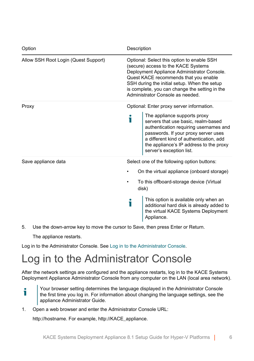| Option                               | Description                                                                                                                                                                                                                                                                                                     |
|--------------------------------------|-----------------------------------------------------------------------------------------------------------------------------------------------------------------------------------------------------------------------------------------------------------------------------------------------------------------|
| Allow SSH Root Login (Quest Support) | Optional: Select this option to enable SSH<br>(secure) access to the KACE Systems<br>Deployment Appliance Administrator Console.<br>Quest KACE recommends that you enable<br>SSH during the initial setup. When the setup<br>is complete, you can change the setting in the<br>Administrator Console as needed. |
| Proxy                                | Optional: Enter proxy server information.                                                                                                                                                                                                                                                                       |
|                                      | The appliance supports proxy<br>servers that use basic, realm-based<br>authentication requiring usernames and<br>passwords. If your proxy server uses<br>a different kind of authentication, add<br>the appliance's IP address to the proxy<br>server's exception list.                                         |
| Save appliance data                  | Select one of the following option buttons:                                                                                                                                                                                                                                                                     |
|                                      | On the virtual appliance (onboard storage)                                                                                                                                                                                                                                                                      |
|                                      | To this offboard-storage device (Virtual<br>disk)                                                                                                                                                                                                                                                               |
|                                      | This option is available only when an<br>additional hard disk is already added to<br>the virtual KACE Systems Deployment<br>Appliance.                                                                                                                                                                          |

5. Use the down-arrow key to move the cursor to Save, then press Enter or Return.

The appliance restarts.

т

Log in to the Administrator Console. See [Log in to the Administrator Console.](#page-5-0)

## <span id="page-5-0"></span>Log in to the Administrator Console

After the network settings are configured and the appliance restarts, log in to the KACE Systems Deployment Appliance Administrator Console from any computer on the LAN (local area network).

- Your browser setting determines the language displayed in the Administrator Console the first time you log in. For information about changing the language settings, see the appliance Administrator Guide.
- 1. Open a web browser and enter the Administrator Console URL:

http://hostname. For example, http://KACE\_appliance.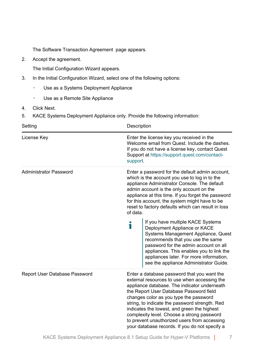The Software Transaction Agreement page appears.

2. Accept the agreement.

The Initial Configuration Wizard appears.

- 3. In the Initial Configuration Wizard, select one of the following options:
	- Use as a Systems Deployment Appliance
	- Use as a Remote Site Appliance
- 4. Click Next.
- 5. KACE Systems Deployment Appliance only. Provide the following information:

| Setting                       | Description                                                                                                                                                                                                                                                                                                                                                                                                                                                                       |
|-------------------------------|-----------------------------------------------------------------------------------------------------------------------------------------------------------------------------------------------------------------------------------------------------------------------------------------------------------------------------------------------------------------------------------------------------------------------------------------------------------------------------------|
| License Key                   | Enter the license key you received in the<br>Welcome email from Quest. Include the dashes.<br>If you do not have a license key, contact Quest<br>Support at https://support.quest.com/contact-<br>support.                                                                                                                                                                                                                                                                        |
| Administrator Password        | Enter a password for the default admin account,<br>which is the account you use to log in to the<br>appliance Administrator Console. The default<br>admin account is the only account on the<br>appliance at this time. If you forget the password<br>for this account, the system might have to be<br>reset to factory defaults which can result in loss<br>of data.                                                                                                             |
|                               | If you have multiple KACE Systems<br>i<br>Deployment Appliance or KACE<br>Systems Management Appliance, Quest<br>recommends that you use the same<br>password for the admin account on all<br>appliances. This enables you to link the<br>appliances later. For more information,<br>see the appliance Administrator Guide.                                                                                                                                                       |
| Report User Database Password | Enter a database password that you want the<br>external resources to use when accessing the<br>appliance database. The indicator underneath<br>the Report User Database Password field<br>changes color as you type the password<br>string, to indicate the password strength. Red<br>indicates the lowest, and green the highest<br>complexity level. Choose a strong password<br>to prevent unauthorized users from accessing<br>your database records. If you do not specify a |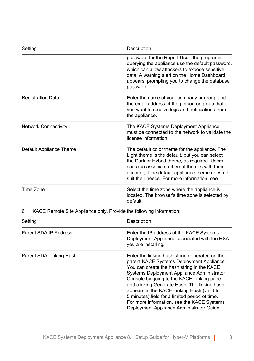| Setting                                                                   | Description                                                                                                                                                                                                                                                                                                                                                                                                                                                                      |
|---------------------------------------------------------------------------|----------------------------------------------------------------------------------------------------------------------------------------------------------------------------------------------------------------------------------------------------------------------------------------------------------------------------------------------------------------------------------------------------------------------------------------------------------------------------------|
|                                                                           | password for the Report User, the programs<br>querying the appliance use the default password,<br>which can allow attackers to expose sensitive<br>data. A warning alert on the Home Dashboard<br>appears, prompting you to change the database<br>password.                                                                                                                                                                                                                     |
| <b>Registration Data</b>                                                  | Enter the name of your company or group and<br>the email address of the person or group that<br>you want to receive logs and notifications from<br>the appliance.                                                                                                                                                                                                                                                                                                                |
| <b>Network Connectivity</b>                                               | The KACE Systems Deployment Appliance<br>must be connected to the network to validate the<br>license information.                                                                                                                                                                                                                                                                                                                                                                |
| Default Appliance Theme                                                   | The default color theme for the appliance. The<br>Light theme is the default, but you can select<br>the Dark or Hybrid theme, as required. Users<br>can also associate different themes with their<br>account, if the default appliance theme does not<br>suit their needs. For more information, see.                                                                                                                                                                           |
| Time Zone                                                                 | Select the time zone where the appliance is<br>located. The browser's time zone is selected by<br>default.                                                                                                                                                                                                                                                                                                                                                                       |
| 6.<br>KACE Remote Site Appliance only. Provide the following information: |                                                                                                                                                                                                                                                                                                                                                                                                                                                                                  |
| Setting                                                                   | Description                                                                                                                                                                                                                                                                                                                                                                                                                                                                      |
| Parent SDA IP Address                                                     | Enter the IP address of the KACE Systems<br>Deployment Appliance associated with the RSA<br>you are installing.                                                                                                                                                                                                                                                                                                                                                                  |
| Parent SDA Linking Hash                                                   | Enter the linking hash string generated on the<br>parent KACE Systems Deployment Appliance.<br>You can create the hash string in the KACE<br>Systems Deployment Appliance Administrator<br>Console by going to the KACE Linking page<br>and clicking Generate Hash. The linking hash<br>appears in the KACE Linking Hash (valid for<br>5 minutes) field for a limited period of time.<br>For more information, see the KACE Systems<br>Deployment Appliance Administrator Guide. |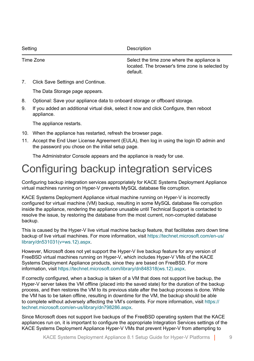| Setting   | Description                                                                                                |
|-----------|------------------------------------------------------------------------------------------------------------|
| Time Zone | Select the time zone where the appliance is<br>located. The browser's time zone is selected by<br>default. |

7. Click Save Settings and Continue.

The Data Storage page appears.

- 8. Optional: Save your appliance data to onboard storage or offboard storage.
- 9. If you added an additional virtual disk, select it now and click Configure, then reboot appliance.

The appliance restarts.

- 10. When the appliance has restarted, refresh the browser page.
- 11. Accept the End User License Agreement (EULA), then log in using the login ID admin and the password you chose on the initial setup page.

The Administrator Console appears and the appliance is ready for use.

### <span id="page-8-0"></span>Configuring backup integration services

Configuring backup integration services appropriately for KACE Systems Deployment Appliance virtual machines running on Hyper-V prevents MySQL database file corruption.

KACE Systems Deployment Appliance virtual machine running on Hyper-V is incorrectly configured for virtual machine (VM) backup, resulting in some MySQL database file corruption inside the appliance, rendering the appliance unusable until Technical Support is contacted to resolve the issue, by restoring the database from the most current, non-corrupted database backup.

This is caused by the Hyper-V live virtual machine backup feature, that facilitates zero down time backup of live virtual machines. For more information, visit [https://technet.microsoft.com/en-us/](https://technet.microsoft.com/en-us/library/dn531031(v=ws.12).aspx) [library/dn531031\(v=ws.12\).aspx.](https://technet.microsoft.com/en-us/library/dn531031(v=ws.12).aspx)

However, Microsoft does not yet support the Hyper-V live backup feature for any version of FreeBSD virtual machines running on Hyper-V, which includes Hyper-V VMs of the KACE Systems Deployment Appliance products, since they are based on FreeBSD. For more information, visit [https://technet.microsoft.com/library/dn848318\(ws.12\).aspx](https://technet.microsoft.com/library/dn848318(ws.12).aspx).

If correctly configured, when a backup is taken of a VM that does not support live backup, the Hyper-V server takes the VM offline (placed into the saved state) for the duration of the backup process, and then restores the VM to its previous state after the backup process is done. While the VM has to be taken offline, resulting in downtime for the VM, the backup should be able to complete without adversely affecting the VM's contents. For more information, visit [https://](https://technet.microsoft.com/en-us/library/dn798286.aspx) [technet.microsoft.com/en-us/library/dn798286.aspx](https://technet.microsoft.com/en-us/library/dn798286.aspx).

Since Microsoft does not support live backups of the FreeBSD operating system that the KACE appliances run on, it is important to configure the appropriate Integration Services settings of the KACE Systems Deployment Appliance Hyper-V VMs that prevent Hyper-V from attempting to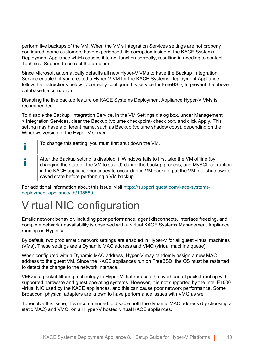perform live backups of the VM. When the VM's Integration Services settings are not properly configured, some customers have experienced file corruption inside of the KACE Systems Deployment Appliance which causes it to not function correctly, resulting in needing to contact Technical Support to correct the problem.

Since Microsoft automatically defaults all new Hyper-V VMs to have the Backup Integration Service enabled, if you created a Hyper-V VM for the KACE Systems Deployment Appliance, follow the instructions below to correctly configure this service for FreeBSD, to prevent the above database file corruption.

Disabling the live backup feature on KACE Systems Deployment Appliance Hyper-V VMs is recommended.

To disable the Backup Integration Service, in the VM Settings dialog box, under Management > Integration Services, clear the Backup (volume checkpoint) check box, and click Apply. This setting may have a different name, such as Backup (volume shadow copy), depending on the Windows version of the Hyper-V server.

- To change this setting, you must first shut down the VM.
- After the Backup setting is disabled, if Windows fails to first take the VM offline (by i changing the state of the VM to saved) during the backup process, and MySQL corruption in the KACE appliance continues to occur during VM backup, put the VM into shutdown or saved state before performing a VM backup.

For additional information about this issue, visit [https://support.quest.com/kace-systems](https://support.quest.com/kace-systems-deployment-appliance/kb/195580)[deployment-appliance/kb/195580.](https://support.quest.com/kace-systems-deployment-appliance/kb/195580)

### <span id="page-9-0"></span>Virtual NIC configuration

i

Erratic network behavior, including poor performance, agent disconnects, interface freezing, and complete network unavailability is observed with a virtual KACE Systems Management Appliance running on Hyper-V.

By default, two problematic network settings are enabled in Hyper-V for all guest virtual machines (VMs). These settings are a Dynamic MAC address and VMQ (virtual machine queue).

When configured with a Dynamic MAC address, Hyper-V may randomly assign a new MAC address to the guest VM. Since the KACE appliances run on FreeBSD, the OS must be restarted to detect the change to the network interface.

VMQ is a packet filtering technology in Hyper-V that reduces the overhead of packet routing with supported hardware and guest operating systems. However, it is not supported by the Intel E1000 virtual NIC used by the KACE appliances, and this can cause poor network performance. Some Broadcom physical adapters are known to have performance issues with VMQ as well.

To resolve this issue, it is recommended to disable both the dynamic MAC address (by choosing a static MAC) and VMQ, on all Hyper-V hosted virtual KACE appliances.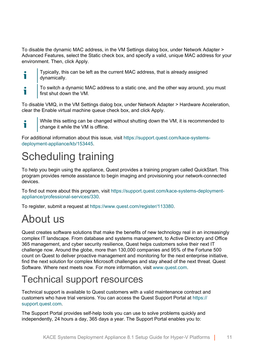To disable the dynamic MAC address, in the VM Settings dialog box, under Network Adapter > Advanced Features, select the Static check box, and specify a valid, unique MAC address for your environment. Then, click Apply.

- Typically, this can be left as the current MAC address, that is already assigned Ť dynamically.
- To switch a dynamic MAC address to a static one, and the other way around, you must Ť first shut down the VM.

To disable VMQ, in the VM Settings dialog box, under Network Adapter > Hardware Acceleration, clear the Enable virtual machine queue check box, and click Apply.

While this setting can be changed without shutting down the VM, it is recommended to i change it while the VM is offline.

For additional information about this issue, visit [https://support.quest.com/kace-systems](https://support.quest.com/kace-systems-deployment-appliance/kb/153445)[deployment-appliance/kb/153445.](https://support.quest.com/kace-systems-deployment-appliance/kb/153445)

### <span id="page-10-0"></span>Scheduling training

To help you begin using the appliance, Quest provides a training program called QuickStart. This program provides remote assistance to begin imaging and provisioning your network-connected devices.

To find out more about this program, visit [https://support.quest.com/kace-systems-deployment](https://support.quest.com/kace-systems-deployment-appliance/professional-services/330)[appliance/professional-services/330](https://support.quest.com/kace-systems-deployment-appliance/professional-services/330).

To register, submit a request at <https://www.quest.com/register/113380>.

### <span id="page-10-1"></span>About us

Quest creates software solutions that make the benefits of new technology real in an increasingly complex IT landscape. From database and systems management, to Active Directory and Office 365 management, and cyber security resilience, Quest helps customers solve their next IT challenge now. Around the globe, more than 130,000 companies and 95% of the Fortune 500 count on Quest to deliver proactive management and monitoring for the next enterprise initiative, find the next solution for complex Microsoft challenges and stay ahead of the next threat. Quest Software. Where next meets now. For more information, visit [www.quest.com](https://www.quest.com/company/contact-us.aspx).

### <span id="page-10-2"></span>Technical support resources

Technical support is available to Quest customers with a valid maintenance contract and customers who have trial versions. You can access the Quest Support Portal at [https://](https://support.quest.com/) [support.quest.com.](https://support.quest.com/)

The Support Portal provides self-help tools you can use to solve problems quickly and independently, 24 hours a day, 365 days a year. The Support Portal enables you to: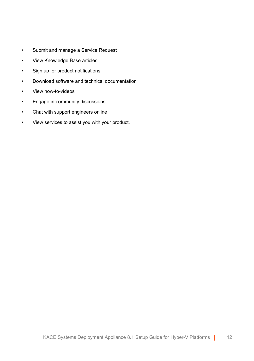- Submit and manage a Service Request
- View Knowledge Base articles
- Sign up for product notifications
- Download software and technical documentation
- View how-to-videos
- Engage in community discussions
- Chat with support engineers online
- View services to assist you with your product.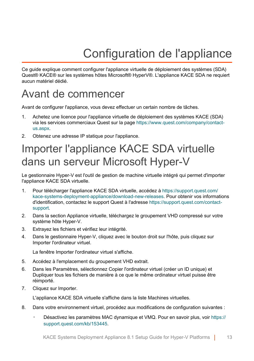# Configuration de l'appliance

<span id="page-12-0"></span>Ce guide explique comment configurer l'appliance virtuelle de déploiement des systèmes (SDA) Quest® KACE® sur les systèmes hôtes Microsoft® HyperV®. L'appliance KACE SDA ne requiert aucun matériel dédié.

### <span id="page-12-1"></span>Avant de commencer

Avant de configurer l'appliance, vous devez effectuer un certain nombre de tâches.

- 1. Achetez une licence pour l'appliance virtuelle de déploiement des systèmes KACE (SDA) via les services commerciaux Quest sur la page [https://www.quest.com/company/contact](https://www.quest.com/company/contact-us.aspx)[us.aspx.](https://www.quest.com/company/contact-us.aspx)
- 2. Obtenez une adresse IP statique pour l'appliance.

### <span id="page-12-2"></span>Importer l'appliance KACE SDA virtuelle dans un serveur Microsoft Hyper-V

Le gestionnaire Hyper-V est l'outil de gestion de machine virtuelle intégré qui permet d'importer l'appliance KACE SDA virtuelle.

- 1. Pour télécharger l'appliance KACE SDA virtuelle, accédez à [https://support.quest.com/](https://support.quest.com/kace-systems-deployment-appliance/download-new-releases) [kace-systems-deployment-appliance/download-new-releases](https://support.quest.com/kace-systems-deployment-appliance/download-new-releases). Pour obtenir vos informations d'identification, contactez le support Quest à l'adresse [https://support.quest.com/contact](https://support.quest.com/contact-support)[support.](https://support.quest.com/contact-support)
- 2. Dans la section Appliance virtuelle, téléchargez le groupement VHD compressé sur votre système hôte Hyper-V.
- 3. Extrayez les fichiers et vérifiez leur intégrité.
- 4. Dans le gestionnaire Hyper-V, cliquez avec le bouton droit sur l'hôte, puis cliquez sur Importer l'ordinateur virtuel.

La fenêtre Importer l'ordinateur virtuel s'affiche.

- 5. Accédez à l'emplacement du groupement VHD extrait.
- 6. Dans les Paramètres, sélectionnez Copier l'ordinateur virtuel (créer un ID unique) et Dupliquer tous les fichiers de manière à ce que le même ordinateur virtuel puisse être réimporté.
- 7. Cliquez sur Importer.

L'appliance KACE SDA virtuelle s'affiche dans la liste Machines virtuelles.

- 8. Dans votre environnement virtuel, procédez aux modifications de configuration suivantes :
	- Désactivez les paramètres MAC dynamique et VMQ. Pour en savoir plus, voir [https://](https://support.quest.com/kb/153445) [support.quest.com/kb/153445](https://support.quest.com/kb/153445).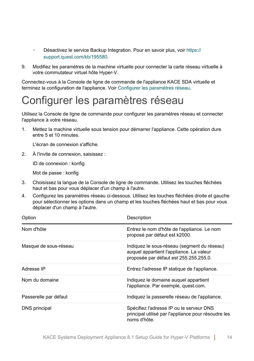- Désactivez le service Backup Integration. Pour en savoir plus, voir [https://](https://support.quest.com/kb/195580) [support.quest.com/kb/195580](https://support.quest.com/kb/195580).
- 9. Modifiez les paramètres de la machine virtuelle pour connecter la carte réseau virtuelle à votre commutateur virtuel hôte Hyper-V.

Connectez-vous à la Console de ligne de commande de l'appliance KACE SDA virtuelle et terminez la configuration de l'appliance. Voir [Configurer les paramètres réseau.](#page-13-0)

### <span id="page-13-0"></span>Configurer les paramètres réseau

Utilisez la Console de ligne de commande pour configurer les paramètres réseau et connecter l'appliance à votre réseau.

1. Mettez la machine virtuelle sous tension pour démarrer l'appliance. Cette opération dure entre 5 et 10 minutes.

L'écran de connexion s'affiche.

2. À l'invite de connexion, saisissez :

ID de connexion : konfig

Mot de passe : konfig

- 3. Choisissez la langue de la Console de ligne de commande. Utilisez les touches fléchées haut et bas pour vous déplacer d'un champ à l'autre.
- 4. Configurez les paramètres réseau ci-dessous. Utilisez les touches fléchées droite et gauche pour sélectionner les options dans un champ et les touches fléchées haut et bas pour vous déplacer d'un champ à l'autre.

| Option                | Description                                                                                                                       |
|-----------------------|-----------------------------------------------------------------------------------------------------------------------------------|
| Nom d'hôte            | Entrez le nom d'hôte de l'appliance. Le nom<br>proposé par défaut est k2000.                                                      |
| Masque de sous-réseau | Indiquez le sous-réseau (segment du réseau)<br>auquel appartient l'appliance. La valeur<br>proposée par défaut est 255.255.255.0. |
| Adresse IP            | Entrez l'adresse IP statique de l'appliance.                                                                                      |
| Nom du domaine        | Indiguez le domaine auguel appartient<br>l'appliance. Par exemple, quest.com.                                                     |
| Passerelle par défaut | Indiquez la passerelle réseau de l'appliance.                                                                                     |
| DNS principal         | Spécifiez l'adresse IP ou le serveur DNS<br>principal utilisé par l'appliance pour résoudre les<br>noms d'hôte.                   |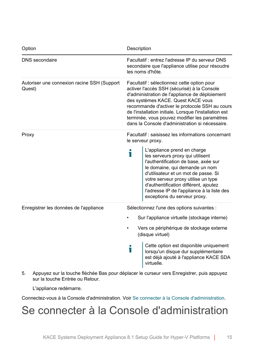| Option                                                | Description                                                                                                                                                                                                                                                                                                                                                                                                                    |
|-------------------------------------------------------|--------------------------------------------------------------------------------------------------------------------------------------------------------------------------------------------------------------------------------------------------------------------------------------------------------------------------------------------------------------------------------------------------------------------------------|
| DNS secondaire                                        | Facultatif: entrez l'adresse IP du serveur DNS<br>secondaire que l'appliance utilise pour résoudre<br>les noms d'hôte.                                                                                                                                                                                                                                                                                                         |
| Autoriser une connexion racine SSH (Support<br>Quest) | Facultatif : sélectionnez cette option pour<br>activer l'accès SSH (sécurisé) à la Console<br>d'administration de l'appliance de déploiement<br>des systèmes KACE. Quest KACE vous<br>recommande d'activer le protocole SSH au cours<br>de l'installation initiale. Lorsque l'installation est<br>terminée, vous pouvez modifier les paramètres<br>dans la Console d'administration si nécessaire.                             |
| Proxy                                                 | Facultatif: saisissez les informations concernant<br>le serveur proxy.<br>L'appliance prend en charge<br>i<br>les serveurs proxy qui utilisent<br>l'authentification de base, axée sur<br>le domaine, qui demande un nom<br>d'utilisateur et un mot de passe. Si<br>votre serveur proxy utilise un type<br>d'authentification différent, ajoutez<br>l'adresse IP de l'appliance à la liste des<br>exceptions du serveur proxy. |
| Enregistrer les données de l'appliance                | Sélectionnez l'une des options suivantes :<br>Sur l'appliance virtuelle (stockage interne)<br>Vers ce périphérique de stockage externe<br>(disque virtuel)<br>Cette option est disponible uniquement<br>i<br>lorsqu'un disque dur supplémentaire<br>est déjà ajouté à l'appliance KACE SDA<br>virtuelle.                                                                                                                       |

5. Appuyez sur la touche fléchée Bas pour déplacer le curseur vers Enregistrer, puis appuyez sur la touche Entrée ou Retour.

L'appliance redémarre.

Connectez-vous à la Console d'administration. Voir [Se connecter à la Console d'administration](#page-14-0).

### <span id="page-14-0"></span>Se connecter à la Console d'administration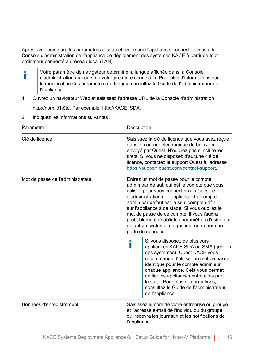Après avoir configuré les paramètres réseau et redémarré l'appliance, connectez-vous à la Console d'administration de l'appliance de déploiement des systèmes KACE à partir de tout ordinateur connecté au réseau local (LAN).

- Votre paramètre de navigateur détermine la langue affichée dans la Console f d'administration au cours de votre première connexion. Pour plus d'informations sur la modification des paramètres de langue, consultez le Guide de l'administrateur de l'appliance.
- 1. Ouvrez un navigateur Web et saisissez l'adresse URL de la Console d'administration :

http://nom\_d'hôte. Par exemple, http://KACE\_SDA.

2. Indiquez les informations suivantes :

| Paramètre                        | Description                                                                                                                                                                                                                                                                                                                                                                                                                                                                                  |
|----------------------------------|----------------------------------------------------------------------------------------------------------------------------------------------------------------------------------------------------------------------------------------------------------------------------------------------------------------------------------------------------------------------------------------------------------------------------------------------------------------------------------------------|
| Clé de licence                   | Saisissez la clé de licence que vous avez reçue<br>dans le courrier électronique de bienvenue<br>envoyé par Quest. N'oubliez pas d'inclure les<br>tirets. Si vous ne disposez d'aucune clé de<br>licence, contactez le support Quest à l'adresse<br>https://support.quest.com/contact-support.                                                                                                                                                                                               |
| Mot de passe de l'administrateur | Entrez un mot de passe pour le compte<br>admin par défaut, qui est le compte que vous<br>utilisez pour vous connecter à la Console<br>d'administration de l'appliance. Le compte<br>admin par défaut est le seul compte défini<br>sur l'appliance à ce stade. Si vous oubliez le<br>mot de passe de ce compte, il vous faudra<br>probablement rétablir les paramètres d'usine par<br>défaut du système, ce qui peut entraîner une<br>perte de données.<br>Si vous disposez de plusieurs<br>i |
|                                  | appliances KACE SDA ou SMA (gestion<br>des systèmes), Quest KACE vous<br>recommande d'utiliser un mot de passe<br>identique pour le compte admin sur<br>chaque appliance. Cela vous permet<br>de lier les appliances entre elles par<br>la suite. Pour plus d'informations,<br>consultez le Guide de l'administrateur<br>de l'appliance.                                                                                                                                                     |
| Données d'enregistrement         | Saisissez le nom de votre entreprise ou groupe<br>et l'adresse e-mail de l'individu ou du groupe<br>qui recevra les journaux et les notifications de<br>l'appliance.                                                                                                                                                                                                                                                                                                                         |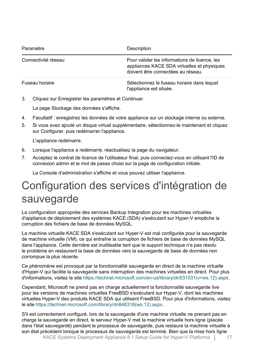| Paramètre           | Description                                                                                                                        |
|---------------------|------------------------------------------------------------------------------------------------------------------------------------|
| Connectivité réseau | Pour valider les informations de licence, les<br>appliances KACE SDA virtuelles et physiques<br>doivent être connectées au réseau. |
| Fuseau horaire      | Sélectionnez le fuseau horaire dans lequel<br>l'appliance est située.                                                              |

3. Cliquez sur Enregistrer les paramètres et Continuer.

La page Stockage des données s'affiche.

- 4. Facultatif : enregistrez les données de votre appliance sur un stockage interne ou externe.
- 5. Si vous avez ajouté un disque virtuel supplémentaire, sélectionnez-le maintenant et cliquez sur Configurer, puis redémarrer l'appliance.

L'appliance redémarre.

- 6. Lorsque l'appliance a redémarré, réactualisez la page du navigateur.
- 7. Acceptez le contrat de licence de l'utilisateur final, puis connectez-vous en utilisant l'ID de connexion admin et le mot de passe choisi sur la page de configuration initiale.

La Console d'administration s'affiche et vous pouvez utiliser l'appliance.

### <span id="page-16-0"></span>Configuration des services d'intégration de sauvegarde

La configuration appropriée des services Backup Integration pour les machines virtuelles d'appliance de déploiement des systèmes KACE (SDA) s'exécutant sur Hyper-V empêche la corruption des fichiers de base de données MySQL.

La machine virtuelle KACE SDA s'exécutant sur Hyper-V est mal configurée pour la sauvegarde de machine virtuelle (VM), ce qui entraîne la corruption de fichiers de base de données MySQL dans l'appliance. Cette dernière est inutilisable tant que le support technique n'a pas résolu le problème en restaurant la base de données vers la sauvegarde de base de données non corrompue la plus récente.

Ce phénomène est provoqué par la fonctionnalité sauvegarde en direct de la machine virtuelle d'Hyper-V qui facilite la sauvegarde sans interruption des machines virtuelles en direct. Pour plus d'informations, visitez le site [https://technet.microsoft.com/en-us/library/dn531031\(v=ws.12\).aspx.](https://technet.microsoft.com/en-us/library/dn531031(v=ws.12).aspx)

Cependant, Microsoft ne prend pas en charge actuellement la fonctionnalité sauvegarde live pour les versions de machines virtuelles FreeBSD s'exécutant sur Hyper-V, dont les machines virtuelles Hyper-V des produits KACE SDA qui utilisent FreeBSD. Pour plus d'informations, visitez le site [https://technet.microsoft.com/library/dn848318\(ws.12\).aspx](https://technet.microsoft.com/library/dn848318(ws.12).aspx).

KACE Systems Deployment Appliance 8.1 Setup Guide for Hyper-V Platforms | 17 S'il est correctement configuré, lors de la sauvegarde d'une machine virtuelle ne prenant pas en charge la sauvegarde en direct, le serveur Hyper-V met la machine virtuelle hors ligne (placée dans l'état sauvegardé) pendant le processus de sauvegarde, puis restaure la machine virtuelle à son état précédent lorsque le processus de sauvegarde est terminé. Bien que la mise hors ligne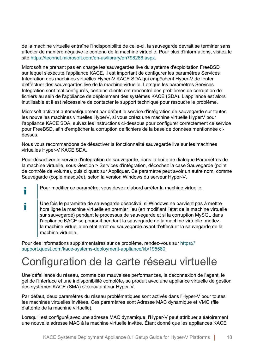de la machine virtuelle entraîne l'indisponibilité de celle-ci, la sauvegarde devrait se terminer sans affecter de manière négative le contenu de la machine virtuelle. Pour plus d'informations, visitez le site [https://technet.microsoft.com/en-us/library/dn798286.aspx.](https://technet.microsoft.com/en-us/library/dn798286.aspx)

Microsoft ne prenant pas en charge les sauvegardes live du système d'exploitation FreeBSD sur lequel s'exécute l'appliance KACE, il est important de configurer les paramètres Services Integration des machines virtuelles Hyper-V KACE SDA qui empêchent Hyper-V de tenter d'effectuer des sauvegardes live de la machine virtuelle. Lorsque les paramètres Services Integration sont mal configurés, certains clients ont rencontré des problèmes de corruption de fichiers au sein de l'appliance de déploiement des systèmes KACE (SDA). L'appliance est alors inutilisable et il est nécessaire de contacter le support technique pour résoudre le problème.

Microsoft activant automatiquement par défaut le service d'intégration de sauvegarde sur toutes les nouvelles machines virtuelles HyperV, si vous créez une machine virtuelle HyperV pour l'appliance KACE SDA, suivez les instructions ci-dessous pour configurer correctement ce service pour FreeBSD, afin d'empêcher la corruption de fichiers de la base de données mentionnée cidessus.

Nous vous recommandons de désactiver la fonctionnalité sauvegarde live sur les machines virtuelles Hyper-V KACE SDA.

Pour désactiver le service d'intégration de sauvegarde, dans la boîte de dialogue Paramètres de la machine virtuelle, sous Gestion > Services d'intégration, décochez la case Sauvegarde (point de contrôle de volume), puis cliquez sur Appliquer. Ce paramètre peut avoir un autre nom, comme Sauvegarde (copie masquée), selon la version Windows du serveur Hyper-V.

Pour modifier ce paramètre, vous devez d'abord arrêter la machine virtuelle.

ñ

i Une fois le paramètre de sauvegarde désactivé, si Windows ne parvient pas à mettre hors ligne la machine virtuelle en premier lieu (en modifiant l'état de la machine virtuelle sur sauvegardé) pendant le processus de sauvegarde et si la corruption MySQL dans l'appliance KACE se poursuit pendant la sauvegarde de la machine virtuelle, mettez la machine virtuelle en état arrêt ou sauvegardé avant d'effectuer la sauvegarde de la machine virtuelle.

Pour des informations supplémentaires sur ce problème, rendez-vous sur [https://](https://support.quest.com/kace-systems-deployment-appliance/kb/195580) [support.quest.com/kace-systems-deployment-appliance/kb/195580](https://support.quest.com/kace-systems-deployment-appliance/kb/195580).

### <span id="page-17-0"></span>Configuration de la carte réseau virtuelle

Une défaillance du réseau, comme des mauvaises performances, la déconnexion de l'agent, le gel de l'interface et une indisponibilité complète, se produit avec une appliance virtuelle de gestion des systèmes KACE (SMA) s'exécutant sur Hyper-V.

Par défaut, deux paramètres du réseau problématiques sont activés dans l'Hyper-V pour toutes les machines virtuelles invitées. Ces paramètres sont Adresse MAC dynamique et VMQ (file d'attente de la machine virtuelle).

Lorsqu'il est configuré avec une adresse MAC dynamique, l'Hyper-V peut attribuer aléatoirement une nouvelle adresse MAC à la machine virtuelle invitée. Étant donné que les appliances KACE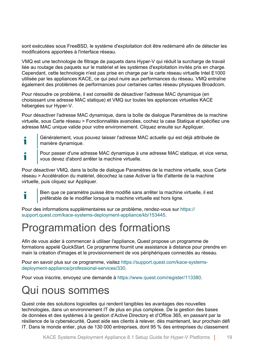sont exécutées sous FreeBSD, le système d'exploitation doit être redémarré afin de détecter les modifications apportées à l'interface réseau.

VMQ est une technologie de filtrage de paquets dans Hyper-V qui réduit la surcharge de travail liée au routage des paquets sur le matériel et les systèmes d'exploitation invités pris en charge. Cependant, cette technologie n'est pas prise en charge par la carte réseau virtuelle Intel E1000 utilisée par les appliances KACE, ce qui peut nuire aux performances du réseau. VMQ entraîne également des problèmes de performances pour certaines cartes réseau physiques Broadcom.

Pour résoudre ce problème, il est conseillé de désactiver l'adresse MAC dynamique (en choisissant une adresse MAC statique) et VMQ sur toutes les appliances virtuelles KACE hébergées sur Hyper-V.

Pour désactiver l'adresse MAC dynamique, dans la boîte de dialogue Paramètres de la machine virtuelle, sous Carte réseau > Fonctionnalités avancées, cochez la case Statique et spécifiez une adresse MAC unique valide pour votre environnement. Cliquez ensuite sur Appliquer.

- Généralement, vous pouvez laisser l'adresse MAC actuelle qui est déjà attribuée de i manière dynamique.
- Pour passer d'une adresse MAC dynamique à une adresse MAC statique, et vice versa, Ť vous devez d'abord arrêter la machine virtuelle.

Pour désactiver VMQ, dans la boîte de dialogue Paramètres de la machine virtuelle, sous Carte réseau > Accélération du matériel, décochez la case Activer la file d'attente de la machine virtuelle, puis cliquez sur Appliquer.

Bien que ce paramètre puisse être modifié sans arrêter la machine virtuelle, il est préférable de le modifier lorsque la machine virtuelle est hors ligne.

Pour des informations supplémentaires sur ce problème, rendez-vous sur [https://](https://support.quest.com/kace-systems-deployment-appliance/kb/153445) [support.quest.com/kace-systems-deployment-appliance/kb/153445](https://support.quest.com/kace-systems-deployment-appliance/kb/153445).

### <span id="page-18-0"></span>Programmation des formations

Afin de vous aider à commencer à utiliser l'appliance, Quest propose un programme de formations appelé QuickStart. Ce programme fournit une assistance à distance pour prendre en main la création d'images et le provisionnement de vos périphériques connectés au réseau.

Pour en savoir plus sur ce programme, visitez [https://support.quest.com/kace-systems](https://support.quest.com/kace-systems-deployment-appliance/professional-services/330)[deployment-appliance/professional-services/330](https://support.quest.com/kace-systems-deployment-appliance/professional-services/330).

Pour vous inscrire, envoyez une demande à<https://www.quest.com/register/113380>.

#### <span id="page-18-1"></span>Qui nous sommes

Т

Quest crée des solutions logicielles qui rendent tangibles les avantages des nouvelles technologies, dans un environnement IT de plus en plus complexe. De la gestion des bases de données et des systèmes à la gestion d'Active Directory et d'Office 365, en passant par la résilience de la cybersécurité, Quest aide ses clients à relever, dès maintenant, leur prochain défi IT. Dans le monde entier, plus de 130 000 entreprises, dont 95 % des entreprises du classement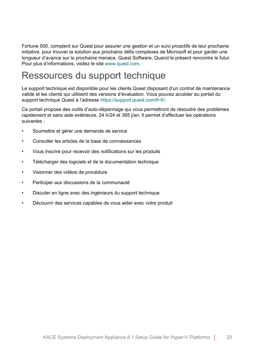Fortune 500, comptent sur Quest pour assurer une gestion et un suivi proactifs de leur prochaine initiative, pour trouver la solution aux prochains défis complexes de Microsoft et pour garder une longueur d'avance sur la prochaine menace. Quest Software. Quand le présent rencontre le futur. Pour plus d'informations, visitez le site [www.quest.com](https://www.quest.com/company/contact-us.aspx).

### <span id="page-19-0"></span>Ressources du support technique

Le support technique est disponible pour les clients Quest disposant d'un contrat de maintenance valide et les clients qui utilisent des versions d'évaluation. Vous pouvez accéder au portail du support technique Quest à l'adresse [https://support.quest.com/fr-fr/.](https://support.quest.com/)

Ce portail propose des outils d'auto-dépannage qui vous permettront de résoudre des problèmes rapidement et sans aide extérieure, 24 h/24 et 365 j/an. Il permet d'effectuer les opérations suivantes :

- Soumettre et gérer une demande de service
- Consulter les articles de la base de connaissances
- Vous inscrire pour recevoir des notifications sur les produits
- Télécharger des logiciels et de la documentation technique
- Visionner des vidéos de procédure
- Participer aux discussions de la communauté
- Discuter en ligne avec des ingénieurs du support technique
- Découvrir des services capables de vous aider avec votre produit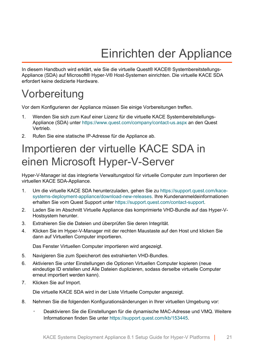# Einrichten der Appliance

<span id="page-20-0"></span>In diesem Handbuch wird erklärt, wie Sie die virtuelle Quest® KACE® Systembereitstellungs-Appliance (SDA) auf Microsoft® Hyper-V® Host-Systemen einrichten. Die virtuelle KACE SDA erfordert keine dedizierte Hardware.

### <span id="page-20-1"></span>Vorbereitung

Vor dem Konfigurieren der Appliance müssen Sie einige Vorbereitungen treffen.

- 1. Wenden Sie sich zum Kauf einer Lizenz für die virtuelle KACE Systembereitstellungs-Appliance (SDA) unter <https://www.quest.com/company/contact-us.aspx> an den Quest Vertrieb.
- 2. Rufen Sie eine statische IP-Adresse für die Appliance ab.

### <span id="page-20-2"></span>Importieren der virtuelle KACE SDA in einen Microsoft Hyper-V-Server

Hyper-V-Manager ist das integrierte Verwaltungstool für virtuelle Computer zum Importieren der virtuellen KACE SDA-Appliance.

- 1. Um die virtuelle KACE SDA herunterzuladen, gehen Sie zu [https://support.quest.com/kace](https://support.quest.com/kace-systems-deployment-appliance/download-new-releases)[systems-deployment-appliance/download-new-releases.](https://support.quest.com/kace-systems-deployment-appliance/download-new-releases) Ihre Kundenanmeldeinformationen erhalten Sie vom Quest Support unter<https://support.quest.com/contact-support>.
- 2. Laden Sie im Abschnitt Virtuelle Appliance das komprimierte VHD-Bundle auf das Hyper-V-Hostsystem herunter.
- 3. Extrahieren Sie die Dateien und überprüfen Sie deren Integrität.
- 4. Klicken Sie im Hyper-V-Manager mit der rechten Maustaste auf den Host und klicken Sie dann auf Virtuellen Computer importieren.

Das Fenster Virtuellen Computer importieren wird angezeigt.

- 5. Navigieren Sie zum Speicherort des extrahierten VHD-Bundles.
- 6. Aktivieren Sie unter Einstellungen die Optionen Virtuellen Computer kopieren (neue eindeutige ID erstellen und Alle Dateien duplizieren, sodass derselbe virtuelle Computer erneut importiert werden kann).
- 7. Klicken Sie auf Import.

Die virtuelle KACE SDA wird in der Liste Virtuelle Computer angezeigt.

- 8. Nehmen Sie die folgenden Konfigurationsänderungen in Ihrer virtuellen Umgebung vor:
	- Deaktivieren Sie die Einstellungen für die dynamische MAC-Adresse und VMQ. Weitere Informationen finden Sie unter [https://support.quest.com/kb/153445.](https://support.quest.com/kb/153445)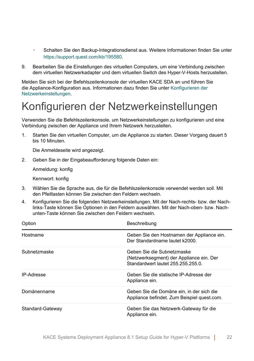- Schalten Sie den Backup-Integrationsdienst aus. Weitere Informationen finden Sie unter <https://support.quest.com/kb/195580>.
- 9. Bearbeiten Sie die Einstellungen des virtuellen Computers, um eine Verbindung zwischen dem virtuellen Netzwerkadapter und dem virtuellen Switch des Hyper-V-Hosts herzustellen.

Melden Sie sich bei der Befehlszeilenkonsole der virtuellen KACE SDA an und führen Sie die Appliance-Konfiguration aus. Informationen dazu finden Sie unter [Konfigurieren der](#page-21-0) [Netzwerkeinstellungen](#page-21-0).

### <span id="page-21-0"></span>Konfigurieren der Netzwerkeinstellungen

Verwenden Sie die Befehlszeilenkonsole, um Netzwerkeinstellungen zu konfigurieren und eine Verbindung zwischen der Appliance und Ihrem Netzwerk herzustellen.

1. Starten Sie den virtuellen Computer, um die Appliance zu starten. Dieser Vorgang dauert 5 bis 10 Minuten.

Die Anmeldeseite wird angezeigt.

2. Geben Sie in der Eingabeaufforderung folgende Daten ein:

Anmeldung: konfig

Kennwort: konfig

- 3. Wählen Sie die Sprache aus, die für die Befehlszeilenkonsole verwendet werden soll. Mit den Pfeiltasten können Sie zwischen den Feldern wechseln.
- 4. Konfigurieren Sie die folgenden Netzwerkeinstellungen. Mit der Nach-rechts- bzw. der Nachlinks-Taste können Sie Optionen in den Feldern auswählen. Mit der Nach-oben- bzw. Nachunten-Taste können Sie zwischen den Feldern wechseln.

| Option            | Beschreibung                                                                                                 |
|-------------------|--------------------------------------------------------------------------------------------------------------|
| Hostname          | Geben Sie den Hostnamen der Appliance ein.<br>Der Standardname lautet k2000.                                 |
| Subnetzmaske      | Geben Sie die Subnetzmaske<br>(Netzwerksegment) der Appliance ein. Der<br>Standardwert lautet 255.255.255.0. |
| <b>IP-Adresse</b> | Geben Sie die statische IP-Adresse der<br>Appliance ein.                                                     |
| Domänenname       | Geben Sie die Domäne ein, in der sich die<br>Appliance befindet. Zum Beispiel quest.com.                     |
| Standard-Gateway  | Geben Sie das Netzwerk-Gateway für die<br>Appliance ein.                                                     |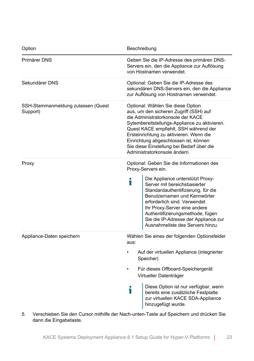| Option                                         | Beschreibung                                                                                                                                                                                                                                                                                                                                                                                   |
|------------------------------------------------|------------------------------------------------------------------------------------------------------------------------------------------------------------------------------------------------------------------------------------------------------------------------------------------------------------------------------------------------------------------------------------------------|
| Primärer DNS                                   | Geben Sie die IP-Adresse des primären DNS-<br>Servers ein, den die Appliance zur Auflösung<br>von Hostnamen verwendet.                                                                                                                                                                                                                                                                         |
| Sekundärer DNS                                 | Optional: Geben Sie die IP-Adresse des<br>sekundären DNS-Servers ein, den die Appliance<br>zur Auflösung von Hostnamen verwendet.                                                                                                                                                                                                                                                              |
| SSH-Stammanmeldung zulassen (Quest<br>Support) | Optional: Wählen Sie diese Option<br>aus, um den sicheren Zugriff (SSH) auf<br>die Administratorkonsole der KACE<br>Sytembereitstellungs-Appliance zu aktivieren.<br>Quest KACE empfiehlt, SSH während der<br>Ersteinrichtung zu aktivieren. Wenn die<br>Einrichtung abgeschlossen ist, können<br>Sie diese Einstellung bei Bedarf über die<br>Administratorkonsole ändern.                    |
| Proxy                                          | Optional: Geben Sie die Informationen des<br>Proxy-Servers ein.<br>Die Appliance unterstützt Proxy-<br>Т<br>Server mit bereichsbasierter<br>Standardauthentifizierung, für die<br>Benutzernamen und Kennwörter<br>erforderlich sind. Verwendet<br>Ihr Proxy-Server eine andere<br>Authentifizierungsmethode, fügen<br>Sie die IP-Adresse der Appliance zur<br>Ausnahmeliste des Servers hinzu. |
| Appliance-Daten speichern                      | Wählen Sie eines der folgenden Optionsfelder<br>aus:<br>Auf der virtuellen Appliance (integrierter<br>Speicher)<br>Für dieses Offboard-Speichergerät:<br>Virtueller Datenträger<br>Diese Option ist nur verfügbar, wenn<br>i<br>bereits eine zusätzliche Festplatte<br>zur virtuellen KACE SDA-Appliance<br>hinzugefügt wurde.                                                                 |

5. Verschieben Sie den Cursor mithilfe der Nach-unten-Taste auf Speichern und drücken Sie dann die Eingabetaste.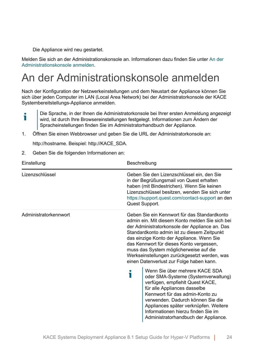Die Appliance wird neu gestartet.

Melden Sie sich an der Administrationskonsole an. Informationen dazu finden Sie unter [An der](#page-23-0) [Administrationskonsole anmelden.](#page-23-0)

### <span id="page-23-0"></span>An der Administrationskonsole anmelden

Nach der Konfiguration der Netzwerkeinstellungen und dem Neustart der Appliance können Sie sich über jeden Computer im LAN (Local Area Network) bei der Administratorkonsole der KACE Systembereitstellungs-Appliance anmelden.

- Die Sprache, in der Ihnen die Administratorkonsole bei Ihrer ersten Anmeldung angezeigt i wird, ist durch Ihre Browsereinstellungen festgelegt. Informationen zum Ändern der Spracheinstellungen finden Sie im Administratorhandbuch der Appliance.
- 1. Öffnen Sie einen Webbrowser und geben Sie die URL der Administratorkonsole an:

http://hostname. Beispiel: http://KACE\_SDA.

2. Geben Sie die folgenden Informationen an:

| Einstellung           | Beschreibung                                                                                                                                                                                                                                                                                                                                                                                                                    |
|-----------------------|---------------------------------------------------------------------------------------------------------------------------------------------------------------------------------------------------------------------------------------------------------------------------------------------------------------------------------------------------------------------------------------------------------------------------------|
| Lizenzschlüssel       | Geben Sie den Lizenzschlüssel ein, den Sie<br>in der Begrüßungsmail von Quest erhalten<br>haben (mit Bindestrichen). Wenn Sie keinen<br>Lizenzschlüssel besitzen, wenden Sie sich unter<br>https://support.quest.com/contact-support an den<br>Quest Support.                                                                                                                                                                   |
| Administratorkennwort | Geben Sie ein Kennwort für das Standardkonto<br>admin ein. Mit diesem Konto melden Sie sich bei<br>der Administratorkonsole der Appliance an. Das<br>Standardkonto admin ist zu diesem Zeitpunkt<br>das einzige Konto der Appliance. Wenn Sie<br>das Kennwort für dieses Konto vergessen,<br>muss das System möglicherweise auf die<br>Werkseinstellungen zurückgesetzt werden, was<br>einen Datenverlust zur Folge haben kann. |
|                       | Wenn Sie über mehrere KACE SDA<br>i<br>oder SMA-Systeme (Systemverwaltung)<br>verfügen, empfiehlt Quest KACE,<br>für alle Appliances dasselbe<br>Kennwort für das admin-Konto zu<br>verwenden. Dadurch können Sie die<br>Appliances später verknüpfen. Weitere<br>Informationen hierzu finden Sie im<br>Administratorhandbuch der Appliance.                                                                                    |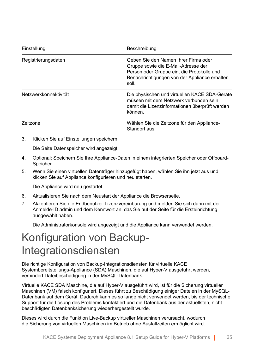| Einstellung           | Beschreibung                                                                                                                                                                        |
|-----------------------|-------------------------------------------------------------------------------------------------------------------------------------------------------------------------------------|
| Registrierungsdaten   | Geben Sie den Namen Ihrer Firma oder<br>Gruppe sowie die E-Mail-Adresse der<br>Person oder Gruppe ein, die Protokolle und<br>Benachrichtigungen von der Appliance erhalten<br>soll. |
| Netzwerkkonnektivität | Die physischen und virtuellen KACE SDA-Geräte<br>müssen mit dem Netzwerk verbunden sein,<br>damit die Lizenzinformationen überprüft werden<br>können.                               |
| Zeitzone              | Wählen Sie die Zeitzone für den Appliance-<br>Standort aus                                                                                                                          |

3. Klicken Sie auf Einstellungen speichern.

Die Seite Datenspeicher wird angezeigt.

- 4. Optional: Speichern Sie Ihre Appliance-Daten in einem integrierten Speicher oder Offboard-Speicher.
- 5. Wenn Sie einen virtuellen Datenträger hinzugefügt haben, wählen Sie ihn jetzt aus und klicken Sie auf Appliance konfigurieren und neu starten.

Die Appliance wird neu gestartet.

- 6. Aktualisieren Sie nach dem Neustart der Appliance die Browserseite.
- 7. Akzeptieren Sie die Endbenutzer-Lizenzvereinbarung und melden Sie sich dann mit der Anmelde-ID admin und dem Kennwort an, das Sie auf der Seite für die Ersteinrichtung ausgewählt haben.

Die Administratorkonsole wird angezeigt und die Appliance kann verwendet werden.

### <span id="page-24-0"></span>Konfiguration von Backup-Integrationsdiensten

Die richtige Konfiguration von Backup-Integrationsdiensten für virtuelle KACE Systembereitstellungs-Appliance (SDA) Maschinen, die auf Hyper-V ausgeführt werden, verhindert Dateibeschädigung in der MySQL-Datenbank.

Virtuelle KACE SDA Maschine, die auf Hyper-V ausgeführt wird, ist für die Sicherung virtueller Maschinen (VM) falsch konfiguriert. Dieses führt zu Beschädigung einiger Dateien in der MySQL-Datenbank auf dem Gerät. Dadurch kann es so lange nicht verwendet werden, bis der technische Support für die Lösung des Problems kontaktiert und die Datenbank aus der aktuellsten, nicht beschädigten Datenbanksicherung wiederhergestellt wurde.

Dieses wird durch die Funktion Live-Backup virtueller Maschinen verursacht, wodurch die Sicherung von virtuellen Maschinen im Betrieb ohne Ausfallzeiten ermöglicht wird.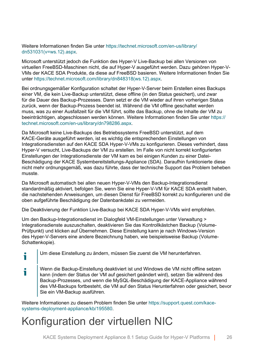Weitere Informationen finden Sie unter [https://technet.microsoft.com/en-us/library/](https://technet.microsoft.com/en-us/library/dn531031(v=ws.12).aspx) [dn531031\(v=ws.12\).aspx.](https://technet.microsoft.com/en-us/library/dn531031(v=ws.12).aspx)

Microsoft unterstützt jedoch die Funktion des Hyper-V Live-Backup bei allen Versionen von virtuellen FreeBSD-Maschinen nicht, die auf Hyper-V ausgeführt werden. Dazu gehören Hyper-V-VMs der KACE SDA Produkte, da diese auf FreeBSD basieren. Weitere Informationen finden Sie unter [https://technet.microsoft.com/library/dn848318\(ws.12\).aspx.](https://technet.microsoft.com/library/dn848318(ws.12).aspx)

Bei ordnungsgemäßer Konfiguration schaltet der Hyper-V-Server beim Erstellen eines Backups einer VM, die kein Live-Backup unterstützt, diese offline (in den Status gesichert), und zwar für die Dauer des Backup-Prozesses. Dann setzt er die VM wieder auf ihren vorherigen Status zurück, wenn der Backup-Prozess beendet ist. Während die VM offline geschaltet werden muss, was zu einer Ausfallzeit für die VM führt, sollte das Backup, ohne die Inhalte der VM zu beeinträchtigen, abgeschlossen werden können. Weitere Informationen finden Sie unter [https://](https://technet.microsoft.com/en-us/library/dn798286.aspx) [technet.microsoft.com/en-us/library/dn798286.aspx](https://technet.microsoft.com/en-us/library/dn798286.aspx).

Da Microsoft keine Live-Backups des Betriebssystems FreeBSD unterstützt, auf dem KACE-Geräte ausgeführt werden, ist es wichtig die entsprechenden Einstellungen von Integrationsdiensten auf den KACE SDA Hyper-V-VMs zu konfigurieren. Dieses verhindert, dass Hyper-V versucht, Live-Backups der VM zu erstellen. Im Falle von nicht korrekt konfigurierten Einstellungen der Integrationsdienste der VM kam es bei einigen Kunden zu einer Datei-Beschädigung der KACE Systembereitstellungs-Appliance (SDA). Daraufhin funktionierte diese nicht mehr ordnungsgemäß, was dazu führte, dass der technische Support das Problem beheben musste.

Da Microsoft automatisch bei allen neuen Hyper-V-VMs den Backup-Integrationsdienst standardmäßig aktiviert, befolgen Sie, wenn Sie eine Hyper-V-VM für KACE SDA erstellt haben, die nachstehenden Anweisungen, um diesen Dienst für FreeBSD korrekt zu konfigurieren und die oben aufgeführte Beschädigung der Datenbankdatei zu vermeiden.

Die Deaktivierung der Funktion Live-Backup bei KACE SDA Hyper-V-VMs wird empfohlen.

Um den Backup-Integrationsdienst im Dialogfeld VM-Einstellungen unter Verwaltung > Integrationsdienste auszuschalten, deaktivieren Sie das Kontrollkästchen Backup (Volume-Prüfpunkt) und klicken auf Übernehmen. Diese Einstellung kann je nach Windows-Version des Hyper-V-Servers eine andere Bezeichnung haben, wie beispielsweise Backup (Volume-Schattenkopie).

- i Um diese Einstellung zu ändern, müssen Sie zuerst die VM herunterfahren.
- Wenn die Backup-Einstellung deaktiviert ist und Windows die VM nicht offline setzen i kann (indem der Status der VM auf gesichert geändert wird), setzen Sie während des Backup-Prozesses, und wenn die MySQL-Beschädigung der KACE-Appliance während des VM-Backups fortbesteht, die VM auf den Status Herunterfahren oder gesichert, bevor Sie ein VM-Backup ausführen.

Weitere Informationen zu diesem Problem finden Sie unter [https://support.quest.com/kace](https://support.quest.com/kace-systems-deployment-appliance/kb/195580)[systems-deployment-appliance/kb/195580.](https://support.quest.com/kace-systems-deployment-appliance/kb/195580)

### <span id="page-25-0"></span>Konfiguration der virtuellen NIC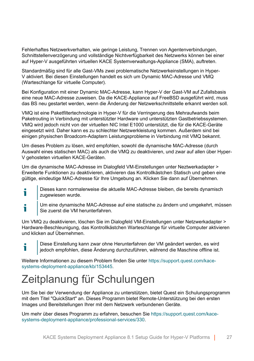Fehlerhaftes Netzwerkverhalten, wie geringe Leistung, Trennen von Agentenverbindungen, Schnittstellenverzögerung und vollständige Nichtverfügbarkeit des Netzwerks können bei einer auf Hyper-V ausgeführten virtuellen KACE Systemverwaltungs-Appliance (SMA), auftreten.

Standardmäßig sind für alle Gast-VMs zwei problematische Netzwerkeinstellungen in Hyper-V aktiviert. Bei diesen Einstellungen handelt es sich um Dynamic MAC-Adresse und VMQ (Warteschlange für virtuelle Computer).

Bei Konfiguration mit einer Dynamic MAC-Adresse, kann Hyper-V der Gast-VM auf Zufallsbasis eine neue MAC-Adresse zuweisen. Da die KACE-Appliance auf FreeBSD ausgeführt wird, muss das BS neu gestartet werden, wenn die Änderung der Netzwerkschnittstelle erkannt werden soll.

VMQ ist eine Paketfiltertechnologie in Hyper-V für die Verringerung des Mehraufwands beim Paketrouting in Verbindung mit unterstützter Hardware und unterstützten Gastbetriebssystemen. VMQ wird jedoch nicht von der virtuellen NIC Intel E1000 unterstützt, die für die KACE-Geräte eingesetzt wird. Daher kann es zu schlechter Netzwerkleistung kommen. Außerdem sind bei einigen physischen Broadcom-Adaptern Leistungsprobleme in Verbindung mit VMQ bekannt.

Um dieses Problem zu lösen, wird empfohlen, sowohl die dynamische MAC-Adresse (durch Auswahl eines statischen MAC) als auch die VMQ zu deaktivieren, und zwar auf allen über Hyper-V gehosteten virtuellen KACE-Geräten.

Um die dynamische MAC-Adresse im Dialogfeld VM-Einstellungen unter Neztwerkadapter > Erweiterte Funktionen zu deaktivieren, aktivieren das Kontrollkästchen Statisch und geben eine gültige, eindeutige MAC-Adresse für Ihre Umgebung an. Klicken Sie dann auf Übernehmen.

- Dieses kann normalerweise die aktuelle MAC-Adresse bleiben, die bereits dynamisch Ť zugewiesen wurde.
- Um eine dynamische MAC-Adresse auf eine statische zu ändern und umgekehrt, müssen i Sie zuerst die VM herunterfahren.

Um VMQ zu deaktivieren, löschen Sie im Dialogfeld VM-Einstellungen unter Netzwerkadapter > Hardware-Beschleunigung, das Kontrollkästchen Warteschlange für virtuelle Computer aktivieren und klicken auf Übernehmen.

i

Diese Einstellung kann zwar ohne Herunterfahren der VM geändert werden, es wird jedoch empfohlen, diese Änderung durchzuführen, während die Maschine offline ist.

Weitere Informationen zu diesem Problem finden Sie unter [https://support.quest.com/kace](https://support.quest.com/kace-systems-deployment-appliance/kb/153445)[systems-deployment-appliance/kb/153445.](https://support.quest.com/kace-systems-deployment-appliance/kb/153445)

## <span id="page-26-0"></span>Zeitplanung für Schulungen

Um Sie bei der Verwendung der Appliance zu unterstützen, bietet Quest ein Schulungsprogramm mit dem Titel "QuickStart" an. Dieses Programm bietet Remote-Unterstützung bei den ersten Images und Bereitstellungen Ihrer mit dem Netzwerk verbundenen Geräte.

Um mehr über dieses Programm zu erfahren, besuchen Sie [https://support.quest.com/kace](https://support.quest.com/kace-systems-deployment-appliance/professional-services/330)[systems-deployment-appliance/professional-services/330](https://support.quest.com/kace-systems-deployment-appliance/professional-services/330).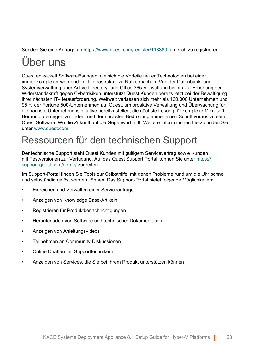Senden Sie eine Anfrage an<https://www.quest.com/register/113380>, um sich zu registrieren.

## <span id="page-27-0"></span>Über uns

Quest entwickelt Softwarelösungen, die sich die Vorteile neuer Technologien bei einer immer komplexer werdenden IT-Infrastruktur zu Nutze machen. Von der Datenbank- und Systemverwaltung über Active Directory- und Office 365-Verwaltung bis hin zur Erhöhung der Widerstandskraft gegen Cyberrisiken unterstützt Quest Kunden bereits jetzt bei der Bewältigung ihrer nächsten IT-Herausforderung. Weltweit verlassen sich mehr als 130.000 Unternehmen und 95 % der Fortune 500-Unternehmen auf Quest, um proaktive Verwaltung und Überwachung für die nächste Unternehmensinitiative bereitzustellen, die nächste Lösung für komplexe Microsoft-Herausforderungen zu finden, und der nächsten Bedrohung immer einen Schritt voraus zu sein. Quest Software. Wo die Zukunft auf die Gegenwart trifft. Weitere Informationen hierzu finden Sie unter [www.quest.com.](https://www.quest.com/company/contact-us.aspx)

### <span id="page-27-1"></span>Ressourcen für den technischen Support

Der technische Support steht Quest Kunden mit gültigem Servicevertrag sowie Kunden mit Testversionen zur Verfügung. Auf das Quest Support Portal können Sie unter [https://](https://support.quest.com/) [support.quest.com/de-de/](https://support.quest.com/) zugreifen.

Im Support-Portal finden Sie Tools zur Selbsthilfe, mit denen Probleme rund um die Uhr schnell und selbständig gelöst werden können. Das Support-Portal bietet folgende Möglichkeiten:

- Einreichen und Verwalten einer Serviceanfrage
- Anzeigen von Knowledge Base-Artikeln
- Registrieren für Produktbenachrichtigungen
- Herunterladen von Software und technischer Dokumentation
- Anzeigen von Anleitungsvideos
- Teilnehmen an Community-Diskussionen
- Online Chatten mit Supporttechnikern
- Anzeigen von Services, die Sie bei Ihrem Produkt unterstützen können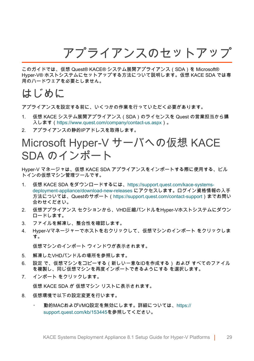アプライアンスのセットアップ

<span id="page-28-0"></span>このガイドでは、仮想 Quest® KACE® システム展開アプライアンス(SDA)を Microsoft® Hyper-V® ホストシステムにセットアップする方法について説明します。仮想 KACE SDA では専 用のハードウェアを必要としません。

#### <span id="page-28-1"></span>はじめに

アプライアンスを設定する前に、いくつかの作業を行っていただく必要があります。

- 1. 仮想 KACE システム展開アプライアンス(SDA)のライセンスを Quest の営業担当から購 入します(<https://www.quest.com/company/contact-us.aspx>)。
- 2. アプライアンスの静的IPアドレスを取得します。

### <span id="page-28-2"></span>Microsoft Hyper-V サーバへの仮想 KACE SDA のインポート

Hyper-V マネージャは、仮想 KACE SDA アプライアンスをインポートする際に使用する、ビル トインの仮想マシン管理ツールです。

- 1. 仮想 KACE SDA をダウンロードするには、[https://support.quest.com/kace-systems](https://support.quest.com/kace-systems-deployment-appliance/download-new-releases)[deployment-appliance/download-new-releases](https://support.quest.com/kace-systems-deployment-appliance/download-new-releases) にアクセスします。ログイン資格情報の入手 方法については、Questのサポート[\(https://support.quest.com/contact-support](https://support.quest.com/contact-support))までお問い 合わせください。
- 2. 仮想アプライアンス セクションから、VHD圧縮バンドルをHyper-Vホストシステムにダウン ロードします。
- 3. ファイルを解凍し、整合性を確認します。
- 4. Hyper-Vマネージャーでホストを右クリックして、仮想マシンのインポート をクリックしま す。

仮想マシンのインポート ウィンドウが表示されます。

- 5. 解凍したVHDバンドルの場所を参照します。
- 6. 設定 で、仮想マシンをコピーする(新しい一意なIDを作成する) および すべてのファイル を複製し、同じ仮想マシンを再度インポートできるようにする を選択します。
- 7. インポート をクリックします。

仮想 KACE SDA が 仮想マシン リストに表示されます。

- 8. 仮想環境で以下の設定変更を行います。
	- 動的MACおよびVMQ設定を無効にします。詳細については、[https://](https://support.quest.com/kb/153445) [support.quest.com/kb/153445](https://support.quest.com/kb/153445)を参照してください。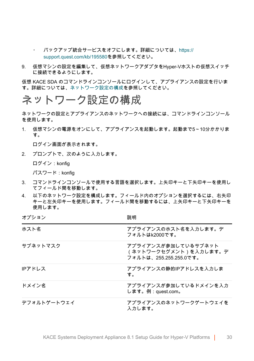- バックアップ統合サービスをオフにします。詳細については、[https://](https://support.quest.com/kb/195580) [support.quest.com/kb/195580](https://support.quest.com/kb/195580)を参照してください。
- 9. 仮想マシンの設定を編集して、仮想ネットワークアダプタをHyper-Vホストの仮想スイッチ に接続できるようにします。

仮想 KACE SDA のコマンドラインコンソールにログインして、アプライアンスの設定を行いま す。詳細については、[ネットワーク設定の構成](#page-29-0)を参照してください。

#### <span id="page-29-0"></span>ネットワーク設定の構成

ネットワークの設定とアプライアンスのネットワークへの接続には、コマンドラインコンソール を使用します。

1. 仮想マシンの電源をオンにして、アプライアンスを起動します。起動まで5~10分かかりま す。

ログイン画面が表示されます。

2. プロンプトで、次のように入力します。

ログイン:konfig

 $\sim$  100  $\pm$ 

パスワード:konfig

- 3. コマンドラインコンソールで使用する言語を選択します。上矢印キーと下矢印キーを使用し てフィールド間を移動します。
- 4. 以下のネットワーク設定を構成します。フィールド内のオプションを選択するには、右矢印 キーと左矢印キーを使用します。フィールド間を移動するには、上矢印キーと下矢印キーを 使用します。

| オプション       | 説明                                                                     |
|-------------|------------------------------------------------------------------------|
| ホスト名        | アプライアンスのホスト名を入力します。デ<br>フォルトはk2000です。                                  |
| サブネットマスク    | アプライアンスが参加しているサブネット<br>(ネットワークセグメント)を入力します。デ<br>フォルトは、255.255.255.0です。 |
| IPアドレス      | アプライアンスの静的IPアドレスを入力しま<br>す。                                            |
| ドメイン名       | アプライアンスが参加しているドメインを入力<br>します。例:quest.com。                              |
| デフォルトゲートウェイ | アプライアンスのネットワークゲートウェイを<br>入力します。                                        |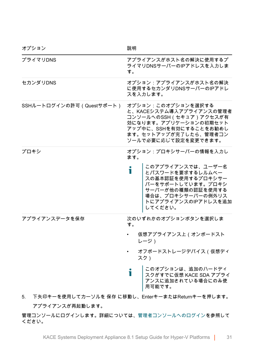| オプション                    | 説明                                                                                                                                                                           |
|--------------------------|------------------------------------------------------------------------------------------------------------------------------------------------------------------------------|
| プライマリDNS                 | アプライアンスがホスト名の解決に使用するプ<br>ライマリDNSサーバーのIPアドレスを入力しま<br>す。                                                                                                                       |
| セカンダリDNS                 | オプション:アプライアンスがホスト名の解決<br>に使用するセカンダリDNSサーバーのIPアドレ<br>スを入力します。                                                                                                                 |
| SSHルートログインの許可(Questサポート) | オプション:このオプションを選択する<br>と、KACEシステム導入アプライアンスの管理者<br>コンソールへのSSH (セキュア)アクセスが有<br>効になります。アプリケーションの初期セット<br>アップ中に、SSHを有効にすることをお勧めし<br>ます。セットアップが完了したら、管理者コン<br>ソールで必要に応じて設定を変更できます。 |
| プロキシ                     | オプション:プロキシサーバーの情報を入力し<br>ます。                                                                                                                                                 |
|                          | このアプライアンスでは、ユーザー名<br>Т<br>とパスワードを要求するレルムベー<br>スの基本認証を使用するプロキシサー<br>バーをサポートしています。プロキシ<br>サーバーが他の種類の認証を使用する<br>場合は、プロキシサーバーの例外リス<br>トにアプライアンスのIPアドレスを追加<br>してください。             |
| アプライアンスデータを保存            | 次のいずれかのオプションボタンを選択しま<br>す。                                                                                                                                                   |
|                          | 仮想アプライアンス上 (オンボードスト<br>レージ)                                                                                                                                                  |
|                          | オフボードストレージデバイス(仮想ディ<br>スク)                                                                                                                                                   |
|                          | このオプションは、追加のハードディ<br>Ť<br>スクがすでに仮想 KACE SDA アプライ<br>アンスに追加されている場合にのみ使<br>用可能です。                                                                                              |
| 5.                       | 下矢印キーを使用してカーソルを 保存 に移動し、EnterキーまたはReturnキーを押します。                                                                                                                             |
| アプライアンスが再起動します。          |                                                                                                                                                                              |

管理コンソールにログインします。詳細については、[管理者コンソールへのログイン](#page-31-0)を参照して ください。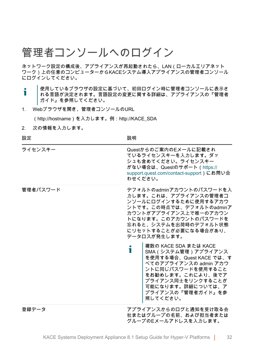### <span id="page-31-0"></span>管理者コンソールへのログイン

ネットワーク設定の構成後、アプライアンスが再起動されたら、LAN(ローカルエリアネット ワーク)上の任意のコンピューターからKACEシステム導入アプライアンスの管理者コンソール にログインしてください。

- 使用しているブラウザの設定に基づいて、初回ログイン時に管理者コンソールに表示さ i れる言語が決定されます。言語設定の変更に関する詳細は、アプライアンスの『管理者 ガイド』を参照してください。
- 1. Webブラウザを開き、管理者コンソールのURL

(http://hostname)を入力します。例:http://KACE\_SDA

2. 次の情報を入力します。

設定 いっきょう しょうかん おおし 説明 おおおし かいきょう かいきょう

| ライセンスキー  | Questからのご案内のEメールに記載され<br>ているライセンスキーを入力します。ダッ<br>シュも含めてください。ライセンスキー<br>がない場合は、Questのサポート(https://<br>support.quest.com/contact-support)にお問い合<br>わせください。                                                                      |
|----------|-----------------------------------------------------------------------------------------------------------------------------------------------------------------------------------------------------------------------------|
| 管理者パスワード | デフォルトのadminアカウントのパスワードを入<br>力します。これは、アプライアンスの管理者コ<br>ンソールにログインするために使用するアカウ<br>ントです。この時点では、デフォルトのadminア<br>カウントがアプライアンス上で唯一のアカウン<br>トになります。このアカウントのパスワードを<br>忘れると、システムを出荷時のデフォルト状態<br>にリセットすることが必要になる場合があり、<br>データロスが発生します。  |
|          | 複数の KACE SDA または KACE<br>i<br>SMA (システム管理) アプライアンス<br>を使用する場合、Quest KACE では、す<br>べてのアプライアンスの admin アカウ<br>ントに同じパスワードを使用すること<br>をお勧めします。これにより、後でア<br>プライアンス同士をリンクすることが<br>可能になります。詳細については、ア<br>プライアンスの『管理者ガイド』を参<br>照してください。 |
| 登録データ    | アプライアンスからのログと通知を受け取る会<br>社またはグループの名前、および担当者または<br>グループのFメールアドレスを入力します。                                                                                                                                                      |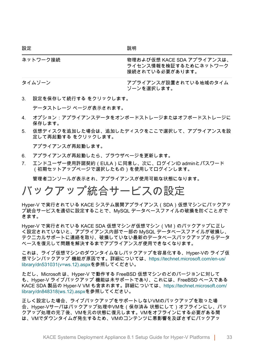| ネットワーク接続 | 物理および仮想 KACE SDA アプライアンスは、<br>ライセンス情報を検証するためにネットワーク<br>接続されている必要があります。 |
|----------|------------------------------------------------------------------------|
| タイムゾーン   | アプライアンスが設置されている地域のタイム<br>ゾーンを選択します。                                    |

3. 設定を保存して続行する をクリックします。

データストレージ ページが表示されます。

- 4. オプション:アプライアンスデータをオンボードストレージまたはオフボードストレージに 保存します。
- 5. 仮想ディスクを追加した場合は、追加したディスクをここで選択して、アプライアンスを設 定して再起動する をクリックします。

アプライアンスが再起動します。

- 6. アプライアンスが再起動したら、ブラウザページを更新します。
- 7. エンドユーザー使用許諾契約(EULA)に同意し、次に、ログインID adminとパスワード (初期セットアップページで選択したもの)を使用してログインします。

管理者コンソールが表示され、アプライアンスが使用可能な状態になります。

### <span id="page-32-0"></span>バックアップ統合サービスの設定

Hyper-V で実行されている KACE システム展開アプライアンス (SDA )仮想マシンにバックアッ プ統合サービスを適切に設定することで、MySQL データベースファイルの破損を防ぐことがで きます。

Hyper-V で実行されている KACE SDA 仮想マシンが仮想マシン(VM)のバックアップに正し く設定されていないと、アプライアンス内部で一部の MySQL データベースファイルが破損し、 テクニカルサポートに連絡を取り、破損していない最新のデータベースバックアップからデータ ベースを復元して問題を解決するまでアプライアンスが使用できなくなります。

これは、ライブ仮想マシンのダウンタイムなしバックアップを容易化する、Hyper-Vの ライブ仮 想マシンバックアップ 機能が原因です。詳細については[、https://technet.microsoft.com/en-us/](https://technet.microsoft.com/en-us/library/dn531031(v=ws.12).aspx) [library/dn531031\(v=ws.12\).aspxを](https://technet.microsoft.com/en-us/library/dn531031(v=ws.12).aspx)参照してください。

ただし、Microsoft は、Hyper-V で動作する FreeBSD 仮想マシンのどのバージョンに対して も、Hyper-V ライブバックアップ 機能は未サポートであり、これには、FreeBSD ベースである KACE SDA 製品の Hyper-V VM も含まれます。詳細については、[https://technet.microsoft.com/](https://technet.microsoft.com/library/dn848318(ws.12).aspx) [library/dn848318\(ws.12\).aspxを](https://technet.microsoft.com/library/dn848318(ws.12).aspx)参照してください。

正しく設定した場合、ライブバックアップをサポートしないVMのバックアップを取った場 合、Hyper-Vサーバはバックアップ処理中VMを(保存済み 状態にして)オフラインにし、バッ クアップ処理の完了後、VMを元の状態に復元します。VMをオフラインにする必要がある間 は、VMでダウンタイムが発生するため、VMのコンテンツに悪影響を及ぼさずにバックアッ

設定 しょうしゃ しょうしゃ おうしゃ 説明 かいきょう かいきょう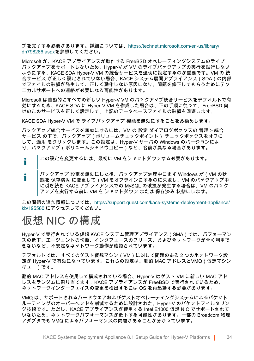プを完了する必要があります。詳細については、[https://technet.microsoft.com/en-us/library/](https://technet.microsoft.com/en-us/library/dn798286.aspx) [dn798286.aspxを](https://technet.microsoft.com/en-us/library/dn798286.aspx)参照してください。

Microsoft が、KACE アプライアンスが動作する FreeBSD オペレーティングシステムのライブ バックアップをサポートしないため、Hyper-V が VM のライブバックアップの実行を試行しない ようにする、KACE SDA Hyper-V VM の統合サービスを適切に設定するのが重要です。VM の 統 合サービス が正しく設定されていない場合、KACE システム展開アプライアンス(SDA)の内部 でファイルの破損が発生して、正しく動作しない原因になり、問題を修正してもらうためにテク ニカルサポートへの連絡が必要になる可能性があります。

Microsoft は自動的にすべての新しい Hyper-V VM のバックアップ統合サービスをデフォルトで有 効にするため、KACE SDA に Hyper-V VM を作成した場合は、下の手順に従って、FreeBSD 向 けのこのサービスを正しく設定して、上記のデータベースファイルの破損を回避します。

KACE SDA Hyper-V VM で ライブバックアップ 機能を無効にすることをお勧めします。

バックアップ統合サービスを無効にするには、VM の 設定 ダイアログボックスの 管理 > 統合 サービス の下で、バックアップ(ボリュームチェックポイント) チェックボックスをオフに して、適用 をクリックします。この設定は、Hyper-V サーバの Windows のバージョンによ り、バックアップ(ボリュームシャドウコピー)など、名前が異なる場合があります。

この設定を変更するには、最初に VM をシャットダウンする必要があります。 т

バックアップ 設定を無効にした後、バックアップ処理中にまず Windows が(VM の状 i 態を 保存済み に変更して)VM をオフラインにするのに失敗し、VM のバックアップ中 に引き続き KACE アプライアンスでの MySQL の破損が発生する場合は、VM のバック アップを実行する前に VM を シャットダウン または 保存済み 状態にします。

この問題の追加情報については、[https://support.quest.com/kace-systems-deployment-appliance/](https://support.quest.com/kace-systems-deployment-appliance/kb/195580) [kb/195580](https://support.quest.com/kace-systems-deployment-appliance/kb/195580) にアクセスしてください。

#### <span id="page-33-0"></span>仮想 NIC の構成

Hyper-V で実行されている仮想 KACE システム管理アプライアンス(SMA)では、パフォーマン スの低下、エージェントの切断、インタフェースのフリーズ、およびネットワークが全く利用で きないなど、不安定なネットワーク動作が確認されています。

デフォルトでは、すべてのゲスト仮想マシン(VM)に対して問題のある 2 つのネットワーク設 定が Hyper-V で有効になっています。これらの設定は、動的 MAC アドレスとVMQ(仮想マシン キュー)です。

動的 MAC アドレスを使用して構成されている場合、Hyper-V はゲスト VM に新しい MAC アド レスをランダムに割り当てます。KACE アプライアンスが FreeBSD で実行されているため、 ネットワークインターフェイスの変更を検出するには OS を再起動する必要があります。

VMQ は、サポートされるハードウェアおよびゲストオペレーティングシステムによるパケット ルーティングのオーバーヘッドを削減するために設計された、Hyper-V のパケットフィルタリン グ技術です。ただし、KACE アプライアンスが使用する Intel E1000 仮想 NIC でサポートされて いないため、ネットワークパフォーマンスが低下する可能性があります。一部の Broadcom 物理 アダプタでも VMQ によるパフォーマンスの問題があることが分かっています。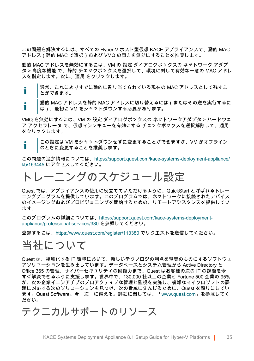この問題を解決するには、すべての Hyper-V ホスト型仮想 KACE アプライアンスで、動的 MAC アドレス(静的 MAC で選択)および VMQ の両方を無効にすることを推奨します。

動的 MAC アドレスを無効にするには、VM の 設定 ダイアログボックスの ネットワーク アダプ タ > 高度な機能 で、静的 チェックボックスを選択して、環境に対して有効な一意の MAC アドレ スを指定します。次に、適用 をクリックします。

- 通常、これによりすでに動的に割り当てられている現在の MAC アドレスとして残すこ i. とができます。
- 動的 MAC アドレスを静的 MAC アドレスに切り替えるには(またはその逆を実行するに Т は)、最初に VM をシャットダウンする必要があります。

VMQ を無効にするには、VM の 設定 ダイアログボックスの ネットワークアダプタ > ハードウェ ア アクセラレータ で、仮想マシンキューを有効にする チェックボックスを選択解除して、適用 をクリックします。

この設定は VM をシャットダウンせずに変更することができますが、VM がオフライン Ť のときに変更することを推奨します。

この問題の追加情報については、[https://support.quest.com/kace-systems-deployment-appliance/](https://support.quest.com/kace-systems-deployment-appliance/kb/153445) [kb/153445](https://support.quest.com/kace-systems-deployment-appliance/kb/153445) にアクセスしてください。

### <span id="page-34-0"></span>トレーニングのスケジュール設定

Quest では、アプライアンスの使用に役立てていただけるように、QuickStart と呼ばれるトレー ニングプログラムを提供しています。このプログラムでは、ネットワークに接続されたデバイス のイメージングおよびプロビジョニングを開始するための、リモートアシスタンスを提供してい ます。

このプログラムの詳細については、[https://support.quest.com/kace-systems-deployment](https://support.quest.com/kace-systems-deployment-appliance/professional-services/330)[appliance/professional-services/330](https://support.quest.com/kace-systems-deployment-appliance/professional-services/330) を参照してください。

登録するには、<https://www.quest.com/register/113380> でリクエストを送信してください。

#### <span id="page-34-1"></span>当社について

Quest は、複雑化する IT 環境において、新しいテクノロジの利点を現実のものにするソフトウェ アソリューションを生み出しています。データベースとシステム管理から Active Directory と Office 365 の管理、サイバーセキュリティの回復力まで、Quest はお客様の次の IT の課題を今 すぐ解決できるように支援します。世界中で、130,000 社以上の企業と Fortune 500 企業の 95% が、次の企業イニシアチブのプロアクティブな管理と監視を実施し、複雑なマイクロソフトの課 題に対応する次のソリューションを見つけ、次の脅威に先んじるために、Quest を頼りにしてい ます。Quest Software。今「次」に備える。詳細に関しては、[「www.quest.com」](https://www.quest.com/company/contact-us.aspx)を参照してく ださい。

<span id="page-34-2"></span>テクニカルサポートのリソース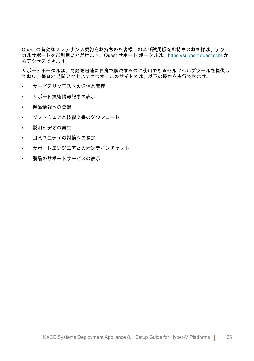Quest の有効なメンテナンス契約をお持ちのお客様、および試用版をお持ちのお客様は、テクニ カルサポートをご利用いただけます。Quest サポート ポータルは、[https://support.quest.com](https://support.quest.com/) か らアクセスできます。

サポートポータルは、問題を迅速に自身で解決するのに使用できるセルフヘルプツールを提供し ており、毎日24時間アクセスできます。このサイトでは、以下の操作を実行できます。

- サービスリクエストの送信と管理
- サポート技術情報記事の表示
- 製品情報への登録
- ソフトウェアと技術文書のダウンロード
- 説明ビデオの再生
- コミュニティの討論への参加
- サポートエンジニアとのオンラインチャット
- 製品のサポートサービスの表示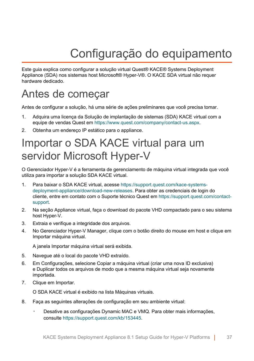# Configuração do equipamento

<span id="page-36-0"></span>Este guia explica como configurar a solução virtual Quest® KACE® Systems Deployment Appliance (SDA) nos sistemas host Microsoft® Hyper-V®. O KACE SDA virtual não requer hardware dedicado.

### <span id="page-36-1"></span>Antes de começar

Antes de configurar a solução, há uma série de ações preliminares que você precisa tomar.

- 1. Adquira uma licença da Solução de implantação de sistemas (SDA) KACE virtual com a equipe de vendas Quest em [https://www.quest.com/company/contact-us.aspx.](https://www.quest.com/company/contact-us.aspx)
- 2. Obtenha um endereço IP estático para o appliance.

### <span id="page-36-2"></span>Importar o SDA KACE virtual para um servidor Microsoft Hyper-V

O Gerenciador Hyper-V é a ferramenta de gerenciamento de máquina virtual integrada que você utiliza para importar a solução SDA KACE virtual.

- 1. Para baixar o SDA KACE virtual, acesse [https://support.quest.com/kace-systems](https://support.quest.com/kace-systems-deployment-appliance/download-new-releases)[deployment-appliance/download-new-releases.](https://support.quest.com/kace-systems-deployment-appliance/download-new-releases) Para obter as credenciais de login do cliente, entre em contato com o Suporte técnico Quest em [https://support.quest.com/contact](https://support.quest.com/contact-support)[support.](https://support.quest.com/contact-support)
- 2. Na seção Appliance virtual, faça o download do pacote VHD compactado para o seu sistema host Hyper-V.
- 3. Extraia e verifique a integridade dos arquivos.
- 4. No Gerenciador Hyper-V Manager, clique com o botão direito do mouse em host e clique em Importar máquina virtual.

A janela Importar máquina virtual será exibida.

- 5. Navegue até o local do pacote VHD extraído.
- 6. Em Configurações, selecione Copiar a máquina virtual (criar uma nova ID exclusiva) e Duplicar todos os arquivos de modo que a mesma máquina virtual seja novamente importada.
- 7. Clique em Importar.

O SDA KACE virtual é exibido na lista Máquinas virtuais.

- 8. Faça as seguintes alterações de configuração em seu ambiente virtual:
	- Desative as configurações Dynamic MAC e VMQ. Para obter mais informações, consulte <https://support.quest.com/kb/153445>.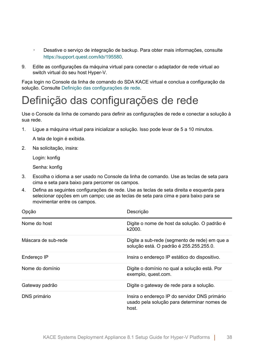- Desative o servico de integração de backup. Para obter mais informações, consulte <https://support.quest.com/kb/195580>.
- 9. Edite as configurações da máquina virtual para conectar o adaptador de rede virtual ao switch virtual do seu host Hyper-V.

Faça login no Console da linha de comando do SDA KACE virtual e conclua a configuração da solução. Consulte [Definição das configurações de rede.](#page-37-0)

### <span id="page-37-0"></span>Definição das configurações de rede

Use o Console da linha de comando para definir as configurações de rede e conectar a solução à sua rede.

1. Ligue a máquina virtual para inicializar a solução. Isso pode levar de 5 a 10 minutos.

A tela de login é exibida.

2. Na solicitação, insira:

Login: konfig

Senha: konfig

- 3. Escolha o idioma a ser usado no Console da linha de comando. Use as teclas de seta para cima e seta para baixo para percorrer os campos.
- 4. Defina as seguintes configurações de rede. Use as teclas de seta direita e esquerda para selecionar opções em um campo; use as teclas de seta para cima e para baixo para se movimentar entre os campos.

| Opção               | Descrição                                                                                             |
|---------------------|-------------------------------------------------------------------------------------------------------|
| Nome do host        | Digite o nome de host da solução. O padrão é<br>k2000.                                                |
| Máscara de sub-rede | Digite a sub-rede (segmento de rede) em que a<br>solução está. O padrão é 255.255.255.0.              |
| Endereco IP         | Insira o endereco IP estático do dispositivo.                                                         |
| Nome do domínio     | Digite o domínio no qual a solução está. Por<br>exemplo, quest com.                                   |
| Gateway padrão      | Digite o gateway de rede para a solução.                                                              |
| DNS primário        | Insira o endereco IP do servidor DNS primário<br>usado pela solução para determinar nomes de<br>host. |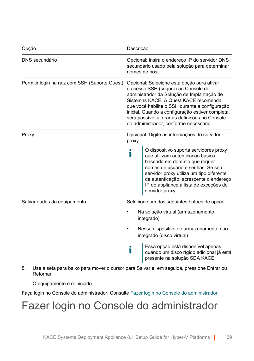| Opção                                          | Descrição                                                                                                                                                                                                                                                                                                                                                                  |
|------------------------------------------------|----------------------------------------------------------------------------------------------------------------------------------------------------------------------------------------------------------------------------------------------------------------------------------------------------------------------------------------------------------------------------|
| DNS secundário                                 | Opcional: Insira o endereço IP do servidor DNS<br>secundário usado pela solução para determinar<br>nomes de host.                                                                                                                                                                                                                                                          |
| Permitir login na raiz com SSH (Suporte Quest) | Opcional: Selecione esta opção para ativar<br>o acesso SSH (seguro) ao Console do<br>administrador da Solução de Implantação de<br>Sistemas KACE. A Quest KACE recomenda<br>que você habilite o SSH durante a configuração<br>inicial. Quando a configuração estiver completa,<br>será possível alterar as definições no Console<br>do administrador, conforme necessário. |
| Proxy                                          | Opcional: Digite as informações do servidor<br>proxy.                                                                                                                                                                                                                                                                                                                      |
|                                                | O dispositivo suporta servidores proxy<br>i<br>que utilizam autenticação básica<br>baseada em domínio que requer<br>nomes de usuário e senhas. Se seu<br>servidor proxy utiliza um tipo diferente<br>de autenticação, acrescente o endereço<br>IP do appliance à lista de exceções do<br>servidor proxy.                                                                   |
| Salvar dados do equipamento                    | Selecione um dos seguintes botões de opção:                                                                                                                                                                                                                                                                                                                                |
|                                                | Na solução virtual (armazenamento<br>integrado)                                                                                                                                                                                                                                                                                                                            |
|                                                | Nesse dispositivo de armazenamento não<br>integrado (disco virtual)                                                                                                                                                                                                                                                                                                        |
|                                                | Essa opção está disponível apenas<br>i<br>quando um disco rígido adicional já está<br>presente na solução SDA KACE.                                                                                                                                                                                                                                                        |
|                                                |                                                                                                                                                                                                                                                                                                                                                                            |

5. Use a seta para baixo para mover o cursor para Salvar e, em seguida, pressione Entrar ou Retornar.

O equipamento é reiniciado.

Faça login no Console do administrador. Consulte [Fazer login no Console do administrador.](#page-38-0)

### <span id="page-38-0"></span>Fazer login no Console do administrador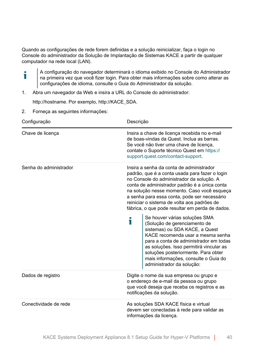Quando as configurações de rede forem definidas e a solução reinicializar, faça o login no Console do administrador da Solução de Implantação de Sistemas KACE a partir de qualquer computador na rede local (LAN).

- A configuração do navegador determinará o idioma exibido no Console do Administrador Ť na primeira vez que você fizer login. Para obter mais informações sobre como alterar as configurações de idioma, consulte o Guia do Administrador da solução.
- 1. Abra um navegador da Web e insira a URL do Console do administrador:

http://hostname. Por exemplo, http://KACE\_SDA.

2. Forneça as seguintes informações:

| Configuração           | Descrição                                                                                                                                                                                                                                                                                                                                                                                 |
|------------------------|-------------------------------------------------------------------------------------------------------------------------------------------------------------------------------------------------------------------------------------------------------------------------------------------------------------------------------------------------------------------------------------------|
| Chave de licenca       | Insira a chave de licença recebida no e-mail<br>de boas-vindas da Quest. Inclua as barras.<br>Se você não tiver uma chave de licença,<br>contate o Suporte técnico Quest em https://<br>support.quest.com/contact-support.                                                                                                                                                                |
| Senha do administrador | Insira a senha da conta de administrador<br>padrão, que é a conta usada para fazer o login<br>no Console do administrador da solução. A<br>conta de administrador padrão é a única conta<br>na solução nesse momento. Caso você esqueça<br>a senha para essa conta, pode ser necessário<br>reiniciar o sistema de volta aos padrões de<br>fábrica, o que pode resultar em perda de dados. |
|                        | Se houver várias soluções SMA<br>i<br>(Solução de gerenciamento de<br>sistemas) ou SDA KACE, a Quest<br>KACE recomenda usar a mesma senha<br>para a conta de administrador em todas<br>as soluções. Isso permitirá vincular as<br>soluções posteriormente. Para obter<br>mais informações, consulte o Guia do<br>administrador da solução:                                                |
| Dados de registro      | Digite o nome da sua empresa ou grupo e<br>o endereço de e-mail da pessoa ou grupo<br>que você deseja que receba os registros e as<br>notificações da solução.                                                                                                                                                                                                                            |
| Conectividade de rede  | As soluções SDA KACE física e virtual<br>devem ser conectadas à rede para validar as<br>informações da licença.                                                                                                                                                                                                                                                                           |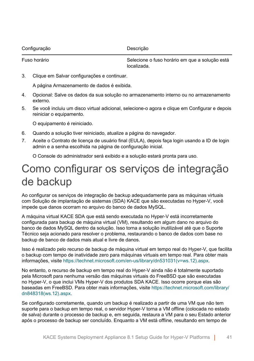KACE Systems Deployment Appliance 8.1 Setup Guide for Hyper-V Platforms | 41

Configuração **Descrição** Descrição

Fuso horário Selecione o fuso horário em que a solução está localizada.

3. Clique em Salvar configurações e continuar.

A página Armazenamento de dados é exibida.

- 4. Opcional: Salve os dados da sua solução no armazenamento interno ou no armazenamento externo.
- 5. Se você incluiu um disco virtual adicional, selecione-o agora e clique em Configurar e depois reiniciar o equipamento.

O equipamento é reiniciado.

- 6. Quando a solução tiver reiniciado, atualize a página do navegador.
- 7. Aceite o Contrato de licença de usuário final (EULA), depois faça login usando a ID de login admin e a senha escolhida na página de configuração inicial.

O Console do administrador será exibido e a solução estará pronta para uso.

### <span id="page-40-0"></span>Como configurar os serviços de integração de backup

Ao configurar os serviços de integração de backup adequadamente para as máquinas virtuais com Solução de implantação de sistemas (SDA) KACE que são executadas no Hyper-V, você impede que danos ocorram no arquivo do banco de dados MySQL.

A máquina virtual KACE SDA que está sendo executada no Hyper-V está incorretamente configurada para backup de máquina virtual (VM), resultando em algum dano no arquivo do banco de dados MySQL dentro da solução. Isso torna a solução inutilizável até que o Suporte Técnico seja acionado para resolver o problema, restaurando o banco de dados com base no backup de banco de dados mais atual e livre de danos.

Isso é realizado pelo recurso de backup de máquina virtual em tempo real do Hyper-V, que facilita o backup com tempo de inatividade zero para máquinas virtuais em tempo real. Para obter mais informações, visite [https://technet.microsoft.com/en-us/library/dn531031\(v=ws.12\).aspx.](https://technet.microsoft.com/en-us/library/dn531031(v=ws.12).aspx)

No entanto, o recurso de backup em tempo real do Hyper-V ainda não é totalmente suportado pela Microsoft para nenhuma versão das máquinas virtuais do FreeBSD que são executadas no Hyper-V, o que inclui VMs Hyper-V dos produtos SDA KACE. Isso ocorre porque elas são baseadas em FreeBSD. Para obter mais informações, visite [https://technet.microsoft.com/library/](https://technet.microsoft.com/library/dn848318(ws.12).aspx) [dn848318\(ws.12\).aspx.](https://technet.microsoft.com/library/dn848318(ws.12).aspx)

Se configurado corretamente, quando um backup é realizado a partir de uma VM que não tem suporte para o backup em tempo real, o servidor Hyper-V torna a VM offline (colocada no estado de salva) durante o processo de backup e, em seguida, restaura a VM para o seu Estado anterior após o processo de backup ser concluído. Enquanto a VM está offline, resultando em tempo de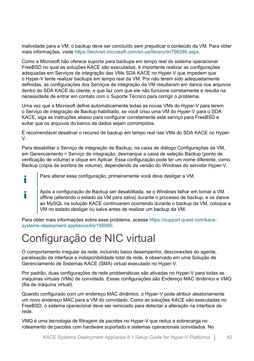inatividade para a VM, o backup deve ser concluído sem prejudicar o conteúdo da VM. Para obter mais informações, visite [https://technet.microsoft.com/en-us/library/dn798286.aspx.](https://technet.microsoft.com/en-us/library/dn798286.aspx)

Como a Microsoft não oferece suporte para backups em tempo real do sistema operacional FreeBSD no qual as soluções KACE são executadas, é importante realizar as configurações adequadas em Serviços de integração das VMs SDA KACE no Hyper-V que impedem que o Hyper-V tente realizar backups em tempo real da VM. Por não terem sido adequadamente definidas, as configurações dos Serviços de integração da VM resultaram em danos nos arquivos dentro do SDA KACE do cliente, o que faz com que ele não funcione corretamente e resulta na necessidade de entrar em contato com o Suporte Técnico para corrigir o problema.

Uma vez que a Microsoft define automaticamente todas as novas VMs do Hyper-V para terem o Serviço de integração de Backup habilitado, se você criou uma VM do Hyper-V para o SDA KACE, siga as instruções abaixo para configurar corretamente este serviço para FreeBSD e evitar que os arquivos do banco de dados sejam corrompidos.

É recomendável desativar o recurso de backup em tempo real nas VMs do SDA KACE no Hyper-V.

Para desabilitar o Serviço de integração de Backup, na caixa de diálogo Configurações da VM, em Gerenciamento > Serviço de integração, desmarque a caixa de seleção Backup (ponto de verificação de volume) e clique em Aplicar. Essa configuração pode ter um nome diferente, como Backup (cópia de sombra de volume), dependendo da versão do Windows do servidor Hyper-V.

- i Para alterar essa configuração, primeiramente você deve desligar a VM.
- Após a configuração de Backup ser desabilitada, se o Windows falhar em tornar a VM i offline (alterando o estado da VM para salva) durante o processo de backup, e os danos ao MySQL na solução KACE continuarem ocorrendo durante o backup da VM, coloque a VM no estado desligar ou salva antes de realizar um backup da VM.

Para obter mais informações sobre esse problema, acesse [https://support.quest.com/kace](https://support.quest.com/kace-systems-deployment-appliance/kb/195580)[systems-deployment-appliance/kb/195580.](https://support.quest.com/kace-systems-deployment-appliance/kb/195580)

### <span id="page-41-0"></span>Configuração de NIC virtual

O comportamento irregular da rede, incluindo baixo desempenho, desconexões do agente, paralisação da interface e indisponibilidade total da rede, é observado em uma Solução de Gerenciamento de Sistemas KACE (SMA) virtual executado no Hyper-V.

Por padrão, duas configurações de rede problemáticas são ativadas no Hyper-V para todas as máquinas virtuais (VMs) de convidado. Essas configurações são Endereço MAC dinâmico e VMQ (fila de máquina virtual).

Quando configurado com um endereço MAC dinâmico, o Hyper-V pode atribuir aleatoriamente um novo endereço MAC para a VM do convidado. Como as soluções KACE são executadas no FreeBSD, o sistema operacional deve ser reiniciado para detectar a alteração na interface de rede.

VMQ é uma tecnologia de filtragem de pacotes no Hyper-V que reduz a sobrecarga no roteamento de pacotes com hardware suportado e sistemas operacionais convidados. No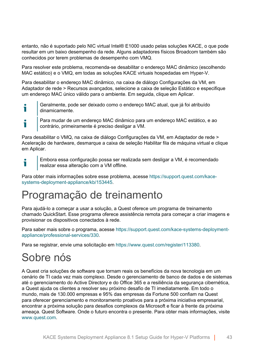entanto, não é suportado pelo NIC virtual Intel® E1000 usado pelas soluções KACE, o que pode resultar em um baixo desempenho da rede. Alguns adaptadores físicos Broadcom também são conhecidos por terem problemas de desempenho com VMQ.

Para resolver este problema, recomenda-se desabilitar o endereço MAC dinâmico (escolhendo MAC estático) e o VMQ, em todas as soluções KACE virtuais hospedadas em Hyper-V.

Para desabilitar o endereço MAC dinâmico, na caixa de diálogo Configurações da VM, em Adaptador de rede > Recursos avançados, selecione a caixa de seleção Estático e especifique um endereço MAC único válido para o ambiente. Em seguida, clique em Aplicar.

- Geralmente, pode ser deixado como o endereço MAC atual, que já foi atribuído i dinamicamente.
- Para mudar de um endereço MAC dinâmico para um endereço MAC estático, e ao т contrário, primeiramente é preciso desligar a VM.

Para desabilitar o VMQ, na caixa de diálogo Configurações da VM, em Adaptador de rede > Aceleração de hardware, desmarque a caixa de seleção Habilitar fila de máquina virtual e clique em Aplicar.

Embora essa configuração possa ser realizada sem desligar a VM, é recomendado i realizar essa alteração com a VM offline.

Para obter mais informações sobre esse problema, acesse [https://support.quest.com/kace](https://support.quest.com/kace-systems-deployment-appliance/kb/153445)[systems-deployment-appliance/kb/153445.](https://support.quest.com/kace-systems-deployment-appliance/kb/153445)

### <span id="page-42-0"></span>Programação de treinamento

Para ajudá-lo a começar a usar a solução, a Quest oferece um programa de treinamento chamado QuickStart. Esse programa oferece assistência remota para começar a criar imagens e provisionar os dispositivos conectados à rede.

Para saber mais sobre o programa, acesse [https://support.quest.com/kace-systems-deployment](https://support.quest.com/kace-systems-deployment-appliance/professional-services/330)[appliance/professional-services/330](https://support.quest.com/kace-systems-deployment-appliance/professional-services/330).

Para se registrar, envie uma solicitação em [https://www.quest.com/register/113380.](https://www.quest.com/register/113380)

### <span id="page-42-1"></span>Sobre nós

A Quest cria soluções de software que tornam reais os benefícios da nova tecnologia em um cenário de TI cada vez mais complexo. Desde o gerenciamento de banco de dados e de sistemas até o gerenciamento do Active Directory e do Office 365 e a resiliência da segurança cibernética, a Quest ajuda os clientes a resolver seu próximo desafio de TI imediatamente. Em todo o mundo, mais de 130.000 empresas e 95% das empresas da Fortune 500 confiam na Quest para oferecer gerenciamento e monitoramento proativos para a próxima iniciativa empresarial, encontrar a próxima solução para desafios complexos da Microsoft e ficar à frente da próxima ameaça. Quest Software. Onde o futuro encontra o presente. Para obter mais informações, visite [www.quest.com](https://www.quest.com/company/contact-us.aspx).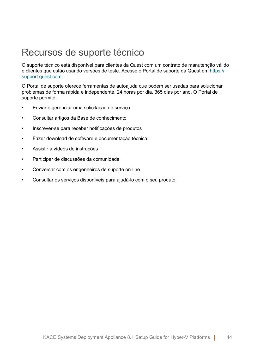#### <span id="page-43-0"></span>Recursos de suporte técnico

O suporte técnico está disponível para clientes da Quest com um contrato de manutenção válido e clientes que estão usando versões de teste. Acesse o Portal de suporte da Quest em [https://](https://support.quest.com/) [support.quest.com.](https://support.quest.com/)

O Portal de suporte oferece ferramentas de autoajuda que podem ser usadas para solucionar problemas de forma rápida e independente, 24 horas por dia, 365 dias por ano. O Portal de suporte permite:

- Enviar e gerenciar uma solicitação de serviço
- Consultar artigos da Base de conhecimento
- Inscrever-se para receber notificações de produtos
- Fazer download de software e documentação técnica
- Assistir a vídeos de instruções
- Participar de discussões da comunidade
- Conversar com os engenheiros de suporte on-line
- Consultar os serviços disponíveis para ajudá-lo com o seu produto.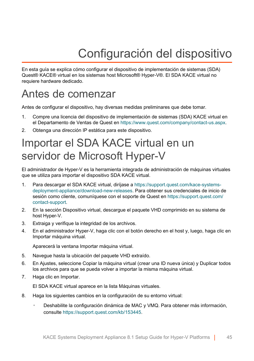# Configuración del dispositivo

<span id="page-44-0"></span>En esta guía se explica cómo configurar el dispositivo de implementación de sistemas (SDA) Quest® KACE® virtual en los sistemas host Microsoft® Hyper-V®. El SDA KACE virtual no requiere hardware dedicado.

### <span id="page-44-1"></span>Antes de comenzar

Antes de configurar el dispositivo, hay diversas medidas preliminares que debe tomar.

- 1. Compre una licencia del dispositivo de implementación de sistemas (SDA) KACE virtual en el Departamento de Ventas de Quest en [https://www.quest.com/company/contact-us.aspx.](https://www.quest.com/company/contact-us.aspx)
- 2. Obtenga una dirección IP estática para este dispositivo.

### <span id="page-44-2"></span>Importar el SDA KACE virtual en un servidor de Microsoft Hyper-V

El administrador de Hyper-V es la herramienta integrada de administración de máquinas virtuales que se utiliza para importar el dispositivo SDA KACE virtual.

- 1. Para descargar el SDA KACE virtual, diríjase a [https://support.quest.com/kace-systems](https://support.quest.com/kace-systems-deployment-appliance/download-new-releases)[deployment-appliance/download-new-releases.](https://support.quest.com/kace-systems-deployment-appliance/download-new-releases) Para obtener sus credenciales de inicio de sesión como cliente, comuníquese con el soporte de Quest en [https://support.quest.com/](https://support.quest.com/contact-support) [contact-support](https://support.quest.com/contact-support).
- 2. En la sección Dispositivo virtual, descargue el paquete VHD comprimido en su sistema de host Hyper-V.
- 3. Extraiga y verifique la integridad de los archivos.
- 4. En el administrador Hyper-V, haga clic con el botón derecho en el host y, luego, haga clic en Importar máquina virtual.

Aparecerá la ventana Importar máquina virtual.

- 5. Navegue hasta la ubicación del paquete VHD extraído.
- 6. En Ajustes, seleccione Copiar la máquina virtual (crear una ID nueva única) y Duplicar todos los archivos para que se pueda volver a importar la misma máquina virtual.
- 7. Haga clic en Importar.

El SDA KACE virtual aparece en la lista Máquinas virtuales.

- 8. Haga los siguientes cambios en la configuración de su entorno virtual:
	- Deshabilite la configuración dinámica de MAC y VMQ. Para obtener más información, consulte <https://support.quest.com/kb/153445>.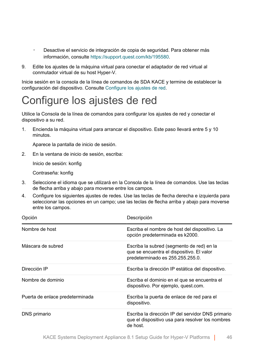- Desactive el servicio de integración de copia de seguridad. Para obtener más información, consulte <https://support.quest.com/kb/195580>.
- 9. Edite los ajustes de la máquina virtual para conectar el adaptador de red virtual al conmutador virtual de su host Hyper-V.

Inicie sesión en la consola de la línea de comandos de SDA KACE y termine de establecer la configuración del dispositivo. Consulte [Configure los ajustes de red.](#page-45-0)

### <span id="page-45-0"></span>Configure los ajustes de red

Utilice la Consola de la línea de comandos para configurar los ajustes de red y conectar el dispositivo a su red.

1. Encienda la máquina virtual para arrancar el dispositivo. Este paso llevará entre 5 y 10 minutos.

Aparece la pantalla de inicio de sesión.

2. En la ventana de inicio de sesión, escriba:

Inicio de sesión: konfig

Contraseña: konfig

- 3. Seleccione el idioma que se utilizará en la Consola de la línea de comandos. Use las teclas de flecha arriba y abajo para moverse entre los campos.
- 4. Configure los siguientes ajustes de redes. Use las teclas de flecha derecha e izquierda para seleccionar las opciones en un campo; use las teclas de flecha arriba y abajo para moverse entre los campos.

| Opción                          | Descripción                                                                                                                |
|---------------------------------|----------------------------------------------------------------------------------------------------------------------------|
| Nombre de host                  | Escriba el nombre de host del dispositivo. La<br>opción predeterminada es k2000.                                           |
| Máscara de subred               | Escriba la subred (segmento de red) en la<br>que se encuentra el dispositivo. El valor<br>predeterminado es 255.255.255.0. |
| Dirección IP                    | Escriba la dirección IP estática del dispositivo.                                                                          |
| Nombre de dominio               | Escriba el dominio en el que se encuentra el<br>dispositivo. Por ejemplo, quest.com.                                       |
| Puerta de enlace predeterminada | Escriba la puerta de enlace de red para el<br>dispositivo.                                                                 |
| DNS primario                    | Escriba la dirección IP del servidor DNS primario<br>que el dispositivo usa para resolver los nombres<br>de host.          |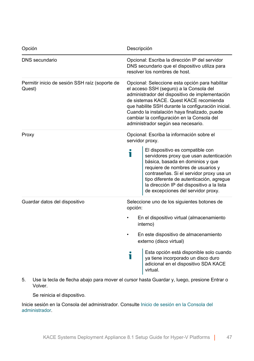| Opción                                                   | Descripción                                                                                                                                                                                                                                                                                                                                                                        |
|----------------------------------------------------------|------------------------------------------------------------------------------------------------------------------------------------------------------------------------------------------------------------------------------------------------------------------------------------------------------------------------------------------------------------------------------------|
| DNS secundario                                           | Opcional: Escriba la dirección IP del servidor<br>DNS secundario que el dispositivo utiliza para<br>resolver los nombres de host.                                                                                                                                                                                                                                                  |
| Permitir inicio de sesión SSH raíz (soporte de<br>Quest) | Opcional: Seleccione esta opción para habilitar<br>el acceso SSH (seguro) a la Consola del<br>administrador del dispositivo de implementación<br>de sistemas KACE. Quest KACE recomienda<br>que habilite SSH durante la configuración inicial.<br>Cuando la instalación haya finalizado, puede<br>cambiar la configuración en la Consola del<br>administrador según sea necesario. |
| Proxy                                                    | Opcional: Escriba la información sobre el<br>servidor proxy.                                                                                                                                                                                                                                                                                                                       |
|                                                          | El dispositivo es compatible con<br>i<br>servidores proxy que usan autenticación<br>básica, basada en dominios y que<br>requiere de nombres de usuarios y<br>contraseñas. Si el servidor proxy usa un<br>tipo diferente de autenticación, agregue<br>la dirección IP del dispositivo a la lista<br>de excepciones del servidor proxy.                                              |
| Guardar datos del dispositivo                            | Seleccione uno de los siguientes botones de<br>opción:                                                                                                                                                                                                                                                                                                                             |
|                                                          | En el dispositivo virtual (almacenamiento<br>interno)                                                                                                                                                                                                                                                                                                                              |
|                                                          | En este dispositivo de almacenamiento<br>externo (disco virtual)                                                                                                                                                                                                                                                                                                                   |
|                                                          | Esta opción está disponible solo cuando<br>i<br>ya tiene incorporado un disco duro<br>adicional en el dispositivo SDA KACE<br>virtual.                                                                                                                                                                                                                                             |

5. Use la tecla de flecha abajo para mover el cursor hasta Guardar y, luego, presione Entrar o Volver.

Se reinicia el dispositivo.

Inicie sesión en la Consola del administrador. Consulte [Inicio de sesión en la Consola del](#page-47-0) [administrador](#page-47-0).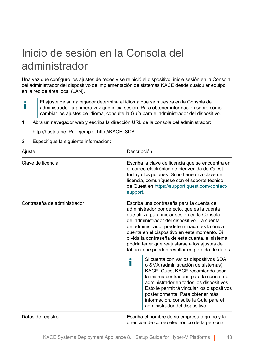### <span id="page-47-0"></span>Inicio de sesión en la Consola del administrador

Una vez que configuró los ajustes de redes y se reinició el dispositivo, inicie sesión en la Consola del administrador del dispositivo de implementación de sistemas KACE desde cualquier equipo en la red de área local (LAN).

- El ajuste de su navegador determina el idioma que se muestra en la Consola del i administrador la primera vez que inicia sesión. Para obtener información sobre cómo cambiar los ajustes de idioma, consulte la Guía para el administrador del dispositivo.
- 1. Abra un navegador web y escriba la dirección URL de la consola del administrador:

http://hostname. Por ejemplo, http://KACE\_SDA.

2. Especifique la siguiente información:

| Ajuste                      | Descripción                                                                                                                                                                                                                                                                                                                                                                                                                                                                              |
|-----------------------------|------------------------------------------------------------------------------------------------------------------------------------------------------------------------------------------------------------------------------------------------------------------------------------------------------------------------------------------------------------------------------------------------------------------------------------------------------------------------------------------|
| Clave de licencia           | Escriba la clave de licencia que se encuentra en<br>el correo electrónico de bienvenida de Quest.<br>Incluya los guiones. Si no tiene una clave de<br>licencia, comuníquese con el soporte técnico<br>de Quest en https://support.quest.com/contact-<br>support.                                                                                                                                                                                                                         |
| Contraseña de administrador | Escriba una contraseña para la cuenta de<br>administrador por defecto, que es la cuenta<br>que utiliza para iniciar sesión en la Consola<br>del administrador del dispositivo. La cuenta<br>de administrador predeterminada es la única<br>cuenta en el dispositivo en este momento. Si<br>olvida la contraseña de esta cuenta, el sistema<br>podría tener que reajustarse a los ajustes de<br>fábrica que pueden resultar en pérdida de datos.<br>Si cuenta con varios dispositivos SDA |
|                             | Ť<br>o SMA (administración de sistemas)<br>KACE, Quest KACE recomienda usar<br>la misma contraseña para la cuenta de<br>administrador en todos los dispositivos.<br>Esto le permitirá vincular los dispositivos<br>posteriormente. Para obtener más<br>información, consulte la Guía para el<br>administrador del dispositivo.                                                                                                                                                           |
| Datos de registro           | Escriba el nombre de su empresa o grupo y la                                                                                                                                                                                                                                                                                                                                                                                                                                             |

dirección de correo electrónico de la persona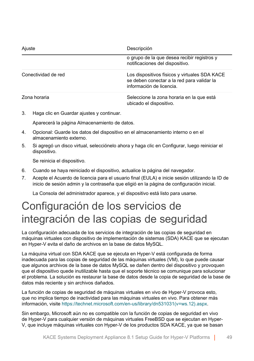| Ajuste              | Descripción                                                                                                             |
|---------------------|-------------------------------------------------------------------------------------------------------------------------|
|                     | o grupo de la que desea recibir registros y<br>notificaciones del dispositivo.                                          |
| Conectividad de red | Los dispositivos físicos y virtuales SDA KACE<br>se deben conectar a la red para validar la<br>información de licencia. |
| Zona horaria        | Seleccione la zona horaria en la que está<br>ubicado el dispositivo.                                                    |

3. Haga clic en Guardar ajustes y continuar.

Aparecerá la página Almacenamiento de datos.

- 4. Opcional: Guarde los datos del dispositivo en el almacenamiento interno o en el almacenamiento externo.
- 5. Si agregó un disco virtual, selecciónelo ahora y haga clic en Configurar, luego reiniciar el dispositivo.

Se reinicia el dispositivo.

- 6. Cuando se haya reiniciado el dispositivo, actualice la página del navegador.
- 7. Acepte el Acuerdo de licencia para el usuario final (EULA) e inicie sesión utilizando la ID de inicio de sesión admin y la contraseña que eligió en la página de configuración inicial.

La Consola del administrador aparece, y el dispositivo está listo para usarse.

### <span id="page-48-0"></span>Configuración de los servicios de integración de las copias de seguridad

La configuración adecuada de los servicios de integración de las copias de seguridad en máquinas virtuales con dispositivo de implementación de sistemas (SDA) KACE que se ejecutan en Hyper-V evita el daño de archivos en la base de datos MySQL.

La máquina virtual con SDA KACE que se ejecuta en Hyper-V está configurada de forma inadecuada para las copias de seguridad de las máquinas virtuales (VM), lo que puede causar que algunos archivos de la base de datos MySQL se dañen dentro del dispositivo y provoquen que el dispositivo quede inutilizable hasta que el soporte técnico se comunique para solucionar el problema. La solución es restaurar la base de datos desde la copia de seguridad de la base de datos más reciente y sin archivos dañados.

La función de copias de seguridad de máquinas virtuales en vivo de Hyper-V provoca esto, que no implica tiempo de inactividad para las máquinas virtuales en vivo. Para obtener más información, visite [https://technet.microsoft.com/en-us/library/dn531031\(v=ws.12\).aspx](https://technet.microsoft.com/en-us/library/dn531031(v=ws.12).aspx).

Sin embargo, Microsoft aún no es compatible con la función de copias de seguridad en vivo de Hyper-V para cualquier versión de máquinas virtuales FreeBSD que se ejecutan en Hyper-V, que incluye máquinas virtuales con Hyper-V de los productos SDA KACE, ya que se basan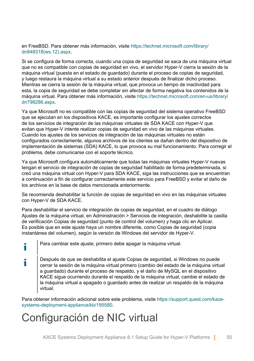en FreeBSD. Para obtener más información, visite [https://technet.microsoft.com/library/](https://technet.microsoft.com/library/dn848318(ws.12).aspx) [dn848318\(ws.12\).aspx.](https://technet.microsoft.com/library/dn848318(ws.12).aspx)

Si se configura de forma correcta, cuando una copia de seguridad se saca de una máquina virtual que no es compatible con copias de seguridad en vivo, el servidor Hyper-V cierra la sesión de la máquina virtual (puesta en el estado de guardado) durante el proceso de copias de seguridad, y luego restaura la máquina virtual a su estado anterior después de finalizar dicho proceso. Mientras se cierra la sesión de la máquina virtual, que provoca un tiempo de inactividad para esta, la copia de seguridad se debe completar sin afectar de forma negativa los contenidos de la máquina virtual. Para obtener más información, visite [https://technet.microsoft.com/en-us/library/](https://technet.microsoft.com/en-us/library/dn798286.aspx) [dn798286.aspx.](https://technet.microsoft.com/en-us/library/dn798286.aspx)

Ya que Microsoft no es compatible con las copias de seguridad del sistema operativo FreeBSD que se ejecutan en los dispositivos KACE, es importante configurar los ajustes correctos de los servicios de integración de las máquinas virtuales de SDA KACE con Hyper-V que evitan que Hyper-V intente realizar copias de seguridad en vivo de las máquinas virtuales. Cuando los ajustes de los servicios de integración de las máquinas virtuales no están configurados correctamente, algunos archivos de los clientes se dañan dentro del dispositivo de implementación de sistemas (SDA) KACE, lo que provoca su mal funcionamiento. Para corregir el problema, debe comunicarse con el soporte técnico.

Ya que Microsoft configura automáticamente que todas las máquinas virtuales Hyper-V nuevas tengan el servicio de integración de copias de seguridad habilitado de forma predeterminada, si creó una máquina virtual con Hyper-V para SDA KACE, siga las instrucciones que se encuentran a continuación a fin de configurar correctamente este servicio para FreeBSD y evitar el daño de los archivos en la base de datos mencionada anteriormente.

Se recomienda deshabilitar la función de copias de seguridad en vivo en las máquinas virtuales con Hyper-V de SDA KACE.

Para deshabilitar el servicio de integración de copias de seguridad, en el cuadro de diálogo Ajustes de la máquina virtual, en Administración > Servicios de integración, deshabilite la casilla de verificación Copias de seguridad (punto de control del volumen) y haga clic en Aplicar. Es posible que en este ajuste haya un nombre diferente, como Copias de seguridad (copia instantánea del volumen), según la versión de Windows del servidor de Hyper-V.

- Para cambiar este ajuste, primero debe apagar la máquina virtual. i
- Después de que se deshabilita el ajuste Copias de seguridad, si Windows no puede т cerrar la sesión de la máquina virtual primero (cambio del estado de la máquina virtual a guardado) durante el proceso de respaldo, y el daño de MySQL en el dispositivo KACE sigue ocurriendo durante el respaldo de la máquina virtual, cambie el estado de la máquina virtual a apagado o guardado antes de realizar un respaldo de la máquina virtual.

Para obtener información adicional sobre este problema, visite [https://support.quest.com/kace](https://support.quest.com/kace-systems-deployment-appliance/kb/195580)[systems-deployment-appliance/kb/195580.](https://support.quest.com/kace-systems-deployment-appliance/kb/195580)

### <span id="page-49-0"></span>Configuración de NIC virtual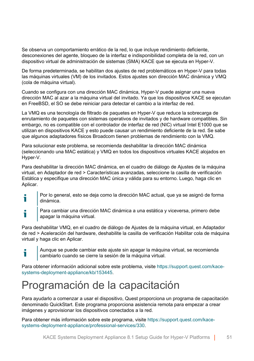Se observa un comportamiento errático de la red, lo que incluye rendimiento deficiente, desconexiones del agente, bloqueo de la interfaz e indisponibilidad completa de la red, con un dispositivo virtual de administración de sistemas (SMA) KACE que se ejecuta en Hyper-V.

De forma predeterminada, se habilitan dos ajustes de red problemáticos en Hyper-V para todas las máquinas virtuales (VM) de los invitados. Estos ajustes son dirección MAC dinámica y VMQ (cola de máquina virtual).

Cuando se configura con una dirección MAC dinámica, Hyper-V puede asignar una nueva dirección MAC al azar a la máquina virtual del invitado. Ya que los dispositivos KACE se ejecutan en FreeBSD, el SO se debe reiniciar para detectar el cambio a la interfaz de red.

La VMQ es una tecnología de filtrado de paquetes en Hyper-V que reduce la sobrecarga de enrutamiento de paquetes con sistemas operativos de invitados y de hardware compatibles. Sin embargo, no es compatible con el controlador de interfaz de red (NIC) virtual Intel E1000 que se utilizan en dispositivos KACE y esto puede causar un rendimiento deficiente de la red. Se sabe que algunos adaptadores físicos Broadcom tienen problemas de rendimiento con la VMQ.

Para solucionar este problema, se recomienda deshabilitar la dirección MAC dinámica (seleccionando una MAC estática) y VMQ en todos los dispositivos virtuales KACE alojados en Hyper-V.

Para deshabilitar la dirección MAC dinámica, en el cuadro de diálogo de Ajustes de la máquina virtual, en Adaptador de red > Características avanzadas, seleccione la casilla de verificación Estática y especifique una dirección MAC única y válida para su entorno. Luego, haga clic en Aplicar.

- Por lo general, esto se deja como la dirección MAC actual, que ya se asignó de forma Ť dinámica.
- Para cambiar una dirección MAC dinámica a una estática y viceversa, primero debe Т apagar la máquina virtual.

Para deshabilitar VMQ, en el cuadro de diálogo de Ajustes de la máquina virtual, en Adaptador de red > Aceleración del hardware, deshabilite la casilla de verificación Habilitar cola de máquina virtual y haga clic en Aplicar.

Aunque se puede cambiar este ajuste sin apagar la máquina virtual, se recomienda cambiarlo cuando se cierre la sesión de la máquina virtual.

Para obtener información adicional sobre este problema, visite [https://support.quest.com/kace](https://support.quest.com/kace-systems-deployment-appliance/kb/153445)[systems-deployment-appliance/kb/153445.](https://support.quest.com/kace-systems-deployment-appliance/kb/153445)

### <span id="page-50-0"></span>Programación de la capacitación

т

Para ayudarlo a comenzar a usar el dispositivo, Quest proporciona un programa de capacitación denominado QuickStart. Este programa proporciona asistencia remota para empezar a crear imágenes y aprovisionar los dispositivos conectados a la red.

Para obtener más información sobre este programa, visite [https://support.quest.com/kace](https://support.quest.com/kace-systems-deployment-appliance/professional-services/330)[systems-deployment-appliance/professional-services/330](https://support.quest.com/kace-systems-deployment-appliance/professional-services/330).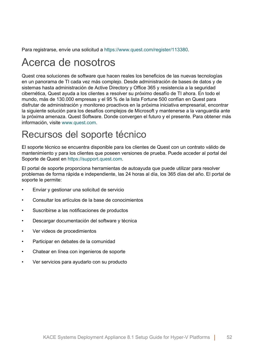Para registrarse, envíe una solicitud a [https://www.quest.com/register/113380.](https://www.quest.com/register/113380)

### <span id="page-51-0"></span>Acerca de nosotros

Quest crea soluciones de software que hacen reales los beneficios de las nuevas tecnologías en un panorama de TI cada vez más complejo. Desde administración de bases de datos y de sistemas hasta administración de Active Directory y Office 365 y resistencia a la seguridad cibernética, Quest ayuda a los clientes a resolver su próximo desafío de TI ahora. En todo el mundo, más de 130.000 empresas y el 95 % de la lista Fortune 500 confían en Quest para disfrutar de administración y monitoreo proactivos en la próxima iniciativa empresarial, encontrar la siguiente solución para los desafíos complejos de Microsoft y mantenerse a la vanguardia ante la próxima amenaza. Quest Software. Donde convergen el futuro y el presente. Para obtener más información, visite [www.quest.com.](https://www.quest.com/company/contact-us.aspx)

#### <span id="page-51-1"></span>Recursos del soporte técnico

El soporte técnico se encuentra disponible para los clientes de Quest con un contrato válido de mantenimiento y para los clientes que poseen versiones de prueba. Puede acceder al portal del Soporte de Quest en [https://support.quest.com.](https://support.quest.com/)

El portal de soporte proporciona herramientas de autoayuda que puede utilizar para resolver problemas de forma rápida e independiente, las 24 horas al día, los 365 días del año. El portal de soporte le permite:

- Enviar y gestionar una solicitud de servicio
- Consultar los artículos de la base de conocimientos
- Suscribirse a las notificaciones de productos
- Descargar documentación del software y técnica
- Ver videos de procedimientos
- Participar en debates de la comunidad
- Chatear en línea con ingenieros de soporte
- Ver servicios para ayudarlo con su producto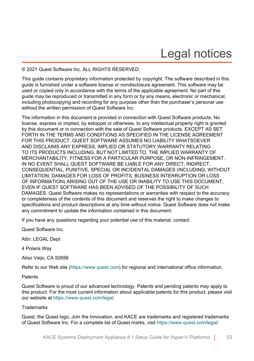## Legal notices

#### <span id="page-52-0"></span>© 2021 Quest Software Inc. ALL RIGHTS RESERVED.

This guide contains proprietary information protected by copyright. The software described in this guide is furnished under a software license or nondisclosure agreement. This software may be used or copied only in accordance with the terms of the applicable agreement. No part of this guide may be reproduced or transmitted in any form or by any means, electronic or mechanical, including photocopying and recording for any purpose other than the purchaser's personal use without the written permission of Quest Software Inc.

The information in this document is provided in connection with Quest Software products. No license, express or implied, by estoppel or otherwise, to any intellectual property right is granted by this document or in connection with the sale of Quest Software products. EXCEPT AS SET FORTH IN THE TERMS AND CONDITIONS AS SPECIFIED IN THE LICENSE AGREEMENT FOR THIS PRODUCT, QUEST SOFTWARE ASSUMES NO LIABILITY WHATSOEVER AND DISCLAIMS ANY EXPRESS, IMPLIED OR STATUTORY WARRANTY RELATING TO ITS PRODUCTS INCLUDING, BUT NOT LIMITED TO, THE IMPLIED WARRANTY OF MERCHANTABILITY, FITNESS FOR A PARTICULAR PURPOSE, OR NON-INFRINGEMENT. IN NO EVENT SHALL QUEST SOFTWARE BE LIABLE FOR ANY DIRECT, INDIRECT, CONSEQUENTIAL, PUNITIVE, SPECIAL OR INCIDENTAL DAMAGES (INCLUDING, WITHOUT LIMITATION, DAMAGES FOR LOSS OF PROFITS, BUSINESS INTERRUPTION OR LOSS OF INFORMATION) ARISING OUT OF THE USE OR INABILITY TO USE THIS DOCUMENT, EVEN IF QUEST SOFTWARE HAS BEEN ADVISED OF THE POSSIBILITY OF SUCH DAMAGES. Quest Software makes no representations or warranties with respect to the accuracy or completeness of the contents of this document and reserves the right to make changes to specifications and product descriptions at any time without notice. Quest Software does not make any commitment to update the information contained in this document.

If you have any questions regarding your potential use of this material, contact:

Quest Software Inc.

Attn: LEGAL Dept

4 Polaris Way

Aliso Viejo, CA 92656

Refer to our Web site [\(https://www.quest.com\)](https://www.quest.com) for regional and international office information.

#### **Patents**

Quest Software is proud of our advanced technology. Patents and pending patents may apply to this product. For the most current information about applicable patents for this product, please visit our website at [https://www.quest.com/legal.](https://www.quest.com/legal)

#### **Trademarks**

Quest, the Quest logo, Join the Innovation, and KACE are trademarks and registered trademarks of Quest Software Inc. For a complete list of Quest marks, visit [https://www.quest.com/legal/](https://www.quest.com/legal/trademark-information.aspx)